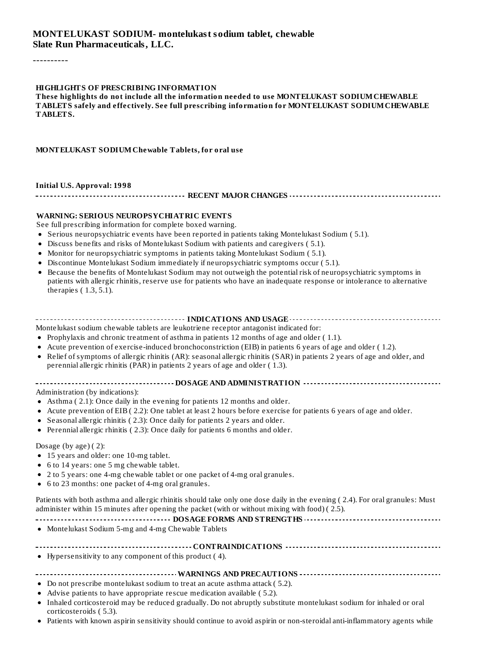#### **MONTELUKAST SODIUM- montelukast sodium tablet, chewable Slate Run Pharmaceuticals, LLC.**

----------

#### **HIGHLIGHTS OF PRESCRIBING INFORMATION**

**These highlights do not include all the information needed to use MONTELUKAST SODIUMCHEWABLE TABLETS safely and effectively. See full prescribing information for MONTELUKAST SODIUMCHEWABLE TABLETS.**

#### **MONTELUKAST SODIUMChewable Tablets, for oral use**

**Initial U.S. Approval: 1998**

**RECENT MAJOR CHANGES**

#### **WARNING: SERIOUS NEUROPSYCHIATRIC EVENTS**

See full prescribing information for complete boxed warning.

- Serious neuropsychiatric events have been reported in patients taking Montelukast Sodium ( 5.1).
- Discuss benefits and risks of Montelukast Sodium with patients and caregivers ( 5.1).
- Monitor for neuropsychiatric symptoms in patients taking Montelukast Sodium ( 5.1).
- Discontinue Montelukast Sodium immediately if neuropsychiatric symptoms occur ( 5.1).
- Because the benefits of Montelukast Sodium may not outweigh the potential risk of neuropsychiatric symptoms in  $\bullet$ patients with allergic rhinitis, reserve use for patients who have an inadequate response or intolerance to alternative therapies ( 1.3, 5.1).

#### **INDICATIONS AND USAGE INDICATIONS AND USAGE** *CONFIGURATIONS* **AND USAGE** *CONFIGURATIONS*

Montelukast sodium chewable tablets are leukotriene receptor antagonist indicated for:

- Prophylaxis and chronic treatment of asthma in patients 12 months of age and older ( 1.1).
- Acute prevention of exercise-induced bronchoconstriction (EIB) in patients 6 years of age and older ( 1.2).
- Relief of symptoms of allergic rhinitis (AR): seasonal allergic rhinitis (SAR) in patients 2 years of age and older, and perennial allergic rhinitis (PAR) in patients 2 years of age and older ( 1.3).

#### **DOSAGE AND ADMINISTRATION**

Administration (by indications):

- Asthma ( 2.1): Once daily in the evening for patients 12 months and older.
- Acute prevention of EIB ( 2.2): One tablet at least 2 hours before exercise for patients 6 years of age and older.
- Seasonal allergic rhinitis ( 2.3): Once daily for patients 2 years and older.
- Perennial allergic rhinitis ( 2.3): Once daily for patients 6 months and older.

Dosage (by age) ( 2):

- 15 years and older: one 10-mg tablet.
- 6 to 14 years: one 5 mg chewable tablet.
- 2 to 5 years: one 4-mg chewable tablet or one packet of 4-mg oral granules.
- 6 to 23 months: one packet of 4-mg oral granules.

Patients with both asthma and allergic rhinitis should take only one dose daily in the evening ( 2.4). For oral granules: Must administer within 15 minutes after opening the packet (with or without mixing with food) ( 2.5).

Montelukast Sodium 5-mg and 4-mg Chewable Tablets

#### **CONTRAINDICATIONS**

Hypersensitivity to any component of this product ( 4).

#### **WARNINGS AND PRECAUTIONS**

- Do not prescribe montelukast sodium to treat an acute asthma attack ( 5.2).
- Advise patients to have appropriate rescue medication available ( 5.2).
- Inhaled corticosteroid may be reduced gradually. Do not abruptly substitute montelukast sodium for inhaled or oral corticosteroids ( 5.3).
- Patients with known aspirin sensitivity should continue to avoid aspirin or non-steroidal anti-inflammatory agents while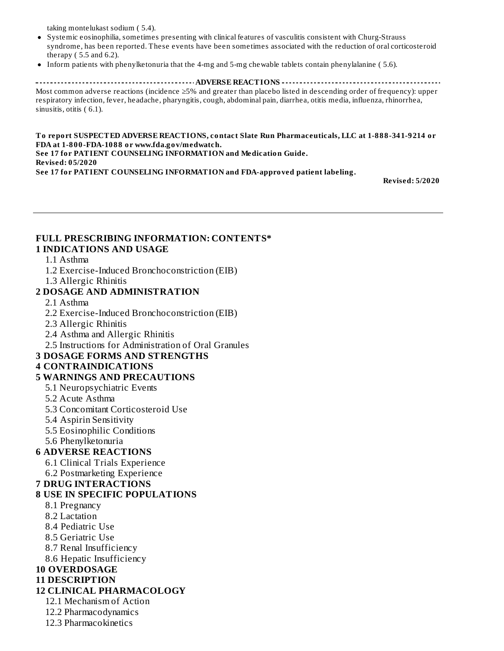taking montelukast sodium ( 5.4).

- Systemic eosinophilia, sometimes presenting with clinical features of vasculitis consistent with Churg-Strauss syndrome, has been reported. These events have been sometimes associated with the reduction of oral corticosteroid therapy ( 5.5 and 6.2).
- Inform patients with phenylketonuria that the 4-mg and 5-mg chewable tablets contain phenylalanine ( 5.6).

**ADVERSE REACTIONS** Most common adverse reactions (incidence ≥5% and greater than placebo listed in descending order of frequency): upper respiratory infection, fever, headache, pharyngitis, cough, abdominal pain, diarrhea, otitis media, influenza, rhinorrhea, sinusitis, otitis  $(6.1)$ .

**To report SUSPECTED ADVERSE REACTIONS, contact Slate Run Pharmaceuticals, LLC at 1-888-341-9214 or FDA at 1-800-FDA-1088 or www.fda.gov/medwatch. See 17 for PATIENT COUNSELING INFORMATION and Medication Guide. Revised: 05/2020 See 17 for PATIENT COUNSELING INFORMATION and FDA-approved patient labeling.**

**Revised: 5/2020**

#### **FULL PRESCRIBING INFORMATION: CONTENTS\* 1 INDICATIONS AND USAGE**

#### 1.1 Asthma

- 1.2 Exercise-Induced Bronchoconstriction (EIB)
- 1.3 Allergic Rhinitis

### **2 DOSAGE AND ADMINISTRATION**

- 2.1 Asthma
- 2.2 Exercise-Induced Bronchoconstriction (EIB)
- 2.3 Allergic Rhinitis
- 2.4 Asthma and Allergic Rhinitis
- 2.5 Instructions for Administration of Oral Granules

#### **3 DOSAGE FORMS AND STRENGTHS**

#### **4 CONTRAINDICATIONS**

#### **5 WARNINGS AND PRECAUTIONS**

- 5.1 Neuropsychiatric Events
- 5.2 Acute Asthma
- 5.3 Concomitant Corticosteroid Use
- 5.4 Aspirin Sensitivity
- 5.5 Eosinophilic Conditions
- 5.6 Phenylketonuria

#### **6 ADVERSE REACTIONS**

- 6.1 Clinical Trials Experience
- 6.2 Postmarketing Experience

#### **7 DRUG INTERACTIONS**

#### **8 USE IN SPECIFIC POPULATIONS**

- 8.1 Pregnancy
- 8.2 Lactation
- 8.4 Pediatric Use
- 8.5 Geriatric Use
- 8.7 Renal Insufficiency
- 8.6 Hepatic Insufficiency

# **10 OVERDOSAGE**

## **11 DESCRIPTION**

#### **12 CLINICAL PHARMACOLOGY**

- 12.1 Mechanism of Action
- 12.2 Pharmacodynamics
- 12.3 Pharmacokinetics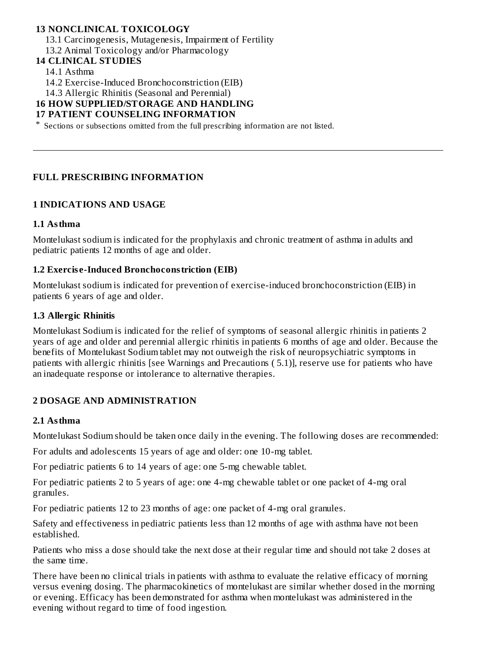### **13 NONCLINICAL TOXICOLOGY**

13.1 Carcinogenesis, Mutagenesis, Impairment of Fertility

13.2 Animal Toxicology and/or Pharmacology

# **14 CLINICAL STUDIES**

14.1 Asthma

14.2 Exercise-Induced Bronchoconstriction (EIB)

14.3 Allergic Rhinitis (Seasonal and Perennial)

#### **16 HOW SUPPLIED/STORAGE AND HANDLING**

#### **17 PATIENT COUNSELING INFORMATION**

\* Sections or subsections omitted from the full prescribing information are not listed.

#### **FULL PRESCRIBING INFORMATION**

#### **1 INDICATIONS AND USAGE**

#### **1.1 Asthma**

Montelukast sodium is indicated for the prophylaxis and chronic treatment of asthma in adults and pediatric patients 12 months of age and older.

#### **1.2 Exercis e-Induced Bronchoconstriction (EIB)**

Montelukast sodium is indicated for prevention of exercise-induced bronchoconstriction (EIB) in patients 6 years of age and older.

#### **1.3 Allergic Rhinitis**

Montelukast Sodium is indicated for the relief of symptoms of seasonal allergic rhinitis in patients 2 years of age and older and perennial allergic rhinitis in patients 6 months of age and older. Because the benefits of Montelukast Sodium tablet may not outweigh the risk of neuropsychiatric symptoms in patients with allergic rhinitis [see Warnings and Precautions ( 5.1)], reserve use for patients who have an inadequate response or intolerance to alternative therapies.

#### **2 DOSAGE AND ADMINISTRATION**

#### **2.1 Asthma**

Montelukast Sodium should be taken once daily in the evening. The following doses are recommended:

For adults and adolescents 15 years of age and older: one 10-mg tablet.

For pediatric patients 6 to 14 years of age: one 5-mg chewable tablet.

For pediatric patients 2 to 5 years of age: one 4-mg chewable tablet or one packet of 4-mg oral granules.

For pediatric patients 12 to 23 months of age: one packet of 4-mg oral granules.

Safety and effectiveness in pediatric patients less than 12 months of age with asthma have not been established.

Patients who miss a dose should take the next dose at their regular time and should not take 2 doses at the same time.

There have been no clinical trials in patients with asthma to evaluate the relative efficacy of morning versus evening dosing. The pharmacokinetics of montelukast are similar whether dosed in the morning or evening. Efficacy has been demonstrated for asthma when montelukast was administered in the evening without regard to time of food ingestion.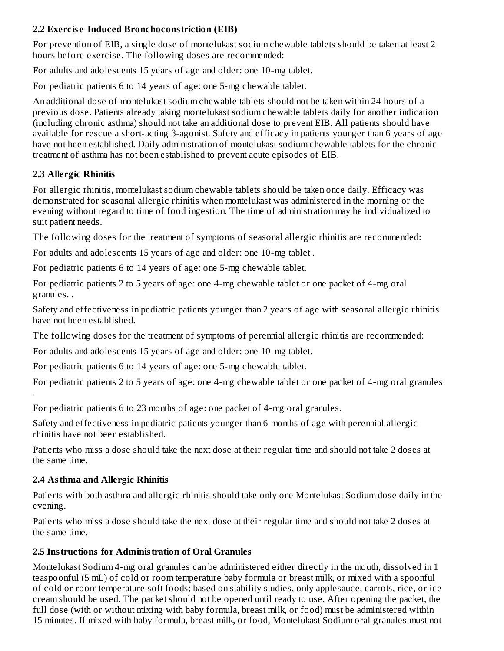# **2.2 Exercis e-Induced Bronchoconstriction (EIB)**

For prevention of EIB, a single dose of montelukast sodium chewable tablets should be taken at least 2 hours before exercise. The following doses are recommended:

For adults and adolescents 15 years of age and older: one 10-mg tablet.

For pediatric patients 6 to 14 years of age: one 5-mg chewable tablet.

An additional dose of montelukast sodium chewable tablets should not be taken within 24 hours of a previous dose. Patients already taking montelukast sodium chewable tablets daily for another indication (including chronic asthma) should not take an additional dose to prevent EIB. All patients should have available for rescue a short-acting β-agonist. Safety and efficacy in patients younger than 6 years of age have not been established. Daily administration of montelukast sodium chewable tablets for the chronic treatment of asthma has not been established to prevent acute episodes of EIB.

### **2.3 Allergic Rhinitis**

.

For allergic rhinitis, montelukast sodium chewable tablets should be taken once daily. Efficacy was demonstrated for seasonal allergic rhinitis when montelukast was administered in the morning or the evening without regard to time of food ingestion. The time of administration may be individualized to suit patient needs.

The following doses for the treatment of symptoms of seasonal allergic rhinitis are recommended:

For adults and adolescents 15 years of age and older: one 10-mg tablet .

For pediatric patients 6 to 14 years of age: one 5-mg chewable tablet.

For pediatric patients 2 to 5 years of age: one 4-mg chewable tablet or one packet of 4-mg oral granules. .

Safety and effectiveness in pediatric patients younger than 2 years of age with seasonal allergic rhinitis have not been established.

The following doses for the treatment of symptoms of perennial allergic rhinitis are recommended:

For adults and adolescents 15 years of age and older: one 10-mg tablet.

For pediatric patients 6 to 14 years of age: one 5-mg chewable tablet.

For pediatric patients 2 to 5 years of age: one 4-mg chewable tablet or one packet of 4-mg oral granules

For pediatric patients 6 to 23 months of age: one packet of 4-mg oral granules.

Safety and effectiveness in pediatric patients younger than 6 months of age with perennial allergic rhinitis have not been established.

Patients who miss a dose should take the next dose at their regular time and should not take 2 doses at the same time.

### **2.4 Asthma and Allergic Rhinitis**

Patients with both asthma and allergic rhinitis should take only one Montelukast Sodium dose daily in the evening.

Patients who miss a dose should take the next dose at their regular time and should not take 2 doses at the same time.

### **2.5 Instructions for Administration of Oral Granules**

Montelukast Sodium 4-mg oral granules can be administered either directly in the mouth, dissolved in 1 teaspoonful (5 mL) of cold or room temperature baby formula or breast milk, or mixed with a spoonful of cold or room temperature soft foods; based on stability studies, only applesauce, carrots, rice, or ice cream should be used. The packet should not be opened until ready to use. After opening the packet, the full dose (with or without mixing with baby formula, breast milk, or food) must be administered within 15 minutes. If mixed with baby formula, breast milk, or food, Montelukast Sodium oral granules must not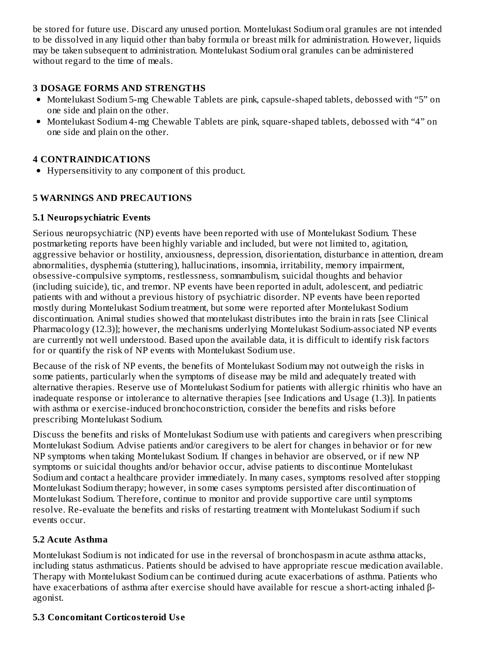be stored for future use. Discard any unused portion. Montelukast Sodium oral granules are not intended to be dissolved in any liquid other than baby formula or breast milk for administration. However, liquids may be taken subsequent to administration. Montelukast Sodium oral granules can be administered without regard to the time of meals.

## **3 DOSAGE FORMS AND STRENGTHS**

- Montelukast Sodium 5-mg Chewable Tablets are pink, capsule-shaped tablets, debossed with "5" on one side and plain on the other.
- Montelukast Sodium 4-mg Chewable Tablets are pink, square-shaped tablets, debossed with "4" on one side and plain on the other.

### **4 CONTRAINDICATIONS**

Hypersensitivity to any component of this product.

### **5 WARNINGS AND PRECAUTIONS**

### **5.1 Neuropsychiatric Events**

Serious neuropsychiatric (NP) events have been reported with use of Montelukast Sodium. These postmarketing reports have been highly variable and included, but were not limited to, agitation, aggressive behavior or hostility, anxiousness, depression, disorientation, disturbance in attention, dream abnormalities, dysphemia (stuttering), hallucinations, insomnia, irritability, memory impairment, obsessive-compulsive symptoms, restlessness, somnambulism, suicidal thoughts and behavior (including suicide), tic, and tremor. NP events have been reported in adult, adolescent, and pediatric patients with and without a previous history of psychiatric disorder. NP events have been reported mostly during Montelukast Sodium treatment, but some were reported after Montelukast Sodium discontinuation. Animal studies showed that montelukast distributes into the brain in rats [see Clinical Pharmacology (12.3)]; however, the mechanisms underlying Montelukast Sodium-associated NP events are currently not well understood. Based upon the available data, it is difficult to identify risk factors for or quantify the risk of NP events with Montelukast Sodium use.

Because of the risk of NP events, the benefits of Montelukast Sodium may not outweigh the risks in some patients, particularly when the symptoms of disease may be mild and adequately treated with alternative therapies. Reserve use of Montelukast Sodium for patients with allergic rhinitis who have an inadequate response or intolerance to alternative therapies [see Indications and Usage (1.3)]. In patients with asthma or exercise-induced bronchoconstriction, consider the benefits and risks before prescribing Montelukast Sodium.

Discuss the benefits and risks of Montelukast Sodium use with patients and caregivers when prescribing Montelukast Sodium. Advise patients and/or caregivers to be alert for changes in behavior or for new NP symptoms when taking Montelukast Sodium. If changes in behavior are observed, or if new NP symptoms or suicidal thoughts and/or behavior occur, advise patients to discontinue Montelukast Sodium and contact a healthcare provider immediately. In many cases, symptoms resolved after stopping Montelukast Sodium therapy; however, in some cases symptoms persisted after discontinuation of Montelukast Sodium. Therefore, continue to monitor and provide supportive care until symptoms resolve. Re-evaluate the benefits and risks of restarting treatment with Montelukast Sodium if such events occur.

### **5.2 Acute Asthma**

Montelukast Sodium is not indicated for use in the reversal of bronchospasm in acute asthma attacks, including status asthmaticus. Patients should be advised to have appropriate rescue medication available. Therapy with Montelukast Sodium can be continued during acute exacerbations of asthma. Patients who have exacerbations of asthma after exercise should have available for rescue a short-acting inhaled βagonist.

### **5.3 Concomitant Corticosteroid Us e**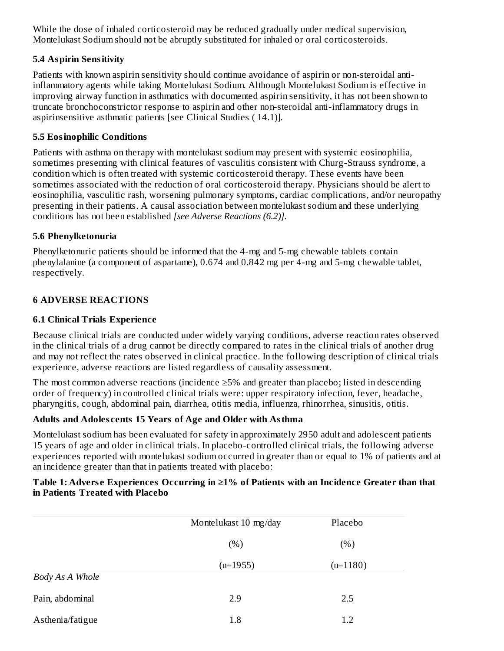While the dose of inhaled corticosteroid may be reduced gradually under medical supervision, Montelukast Sodium should not be abruptly substituted for inhaled or oral corticosteroids.

## **5.4 Aspirin Sensitivity**

Patients with known aspirin sensitivity should continue avoidance of aspirin or non-steroidal antiinflammatory agents while taking Montelukast Sodium. Although Montelukast Sodium is effective in improving airway function in asthmatics with documented aspirin sensitivity, it has not been shown to truncate bronchoconstrictor response to aspirin and other non-steroidal anti-inflammatory drugs in aspirinsensitive asthmatic patients [see Clinical Studies ( 14.1)].

### **5.5 Eosinophilic Conditions**

Patients with asthma on therapy with montelukast sodium may present with systemic eosinophilia, sometimes presenting with clinical features of vasculitis consistent with Churg-Strauss syndrome, a condition which is often treated with systemic corticosteroid therapy. These events have been sometimes associated with the reduction of oral corticosteroid therapy. Physicians should be alert to eosinophilia, vasculitic rash, worsening pulmonary symptoms, cardiac complications, and/or neuropathy presenting in their patients. A causal association between montelukast sodium and these underlying conditions has not been established *[see Adverse Reactions (6.2)].*

### **5.6 Phenylketonuria**

Phenylketonuric patients should be informed that the 4-mg and 5-mg chewable tablets contain phenylalanine (a component of aspartame), 0.674 and 0.842 mg per 4-mg and 5-mg chewable tablet, respectively.

### **6 ADVERSE REACTIONS**

### **6.1 Clinical Trials Experience**

Because clinical trials are conducted under widely varying conditions, adverse reaction rates observed in the clinical trials of a drug cannot be directly compared to rates in the clinical trials of another drug and may not reflect the rates observed in clinical practice. In the following description of clinical trials experience, adverse reactions are listed regardless of causality assessment.

The most common adverse reactions (incidence ≥5% and greater than placebo; listed in descending order of frequency) in controlled clinical trials were: upper respiratory infection, fever, headache, pharyngitis, cough, abdominal pain, diarrhea, otitis media, influenza, rhinorrhea, sinusitis, otitis.

#### **Adults and Adoles cents 15 Years of Age and Older with Asthma**

Montelukast sodium has been evaluated for safety in approximately 2950 adult and adolescent patients 15 years of age and older in clinical trials. In placebo-controlled clinical trials, the following adverse experiences reported with montelukast sodium occurred in greater than or equal to 1% of patients and at an incidence greater than that in patients treated with placebo:

#### **Table 1: Advers e Experiences Occurring in ≥1% of Patients with an Incidence Greater than that in Patients Treated with Placebo**

|                  | Montelukast 10 mg/day | Placebo    |  |
|------------------|-----------------------|------------|--|
|                  | (%)                   | (% )       |  |
|                  | $(n=1955)$            | $(n=1180)$ |  |
| Body As A Whole  |                       |            |  |
| Pain, abdominal  | 2.9                   | 2.5        |  |
| Asthenia/fatigue | 1.8                   | 1.2        |  |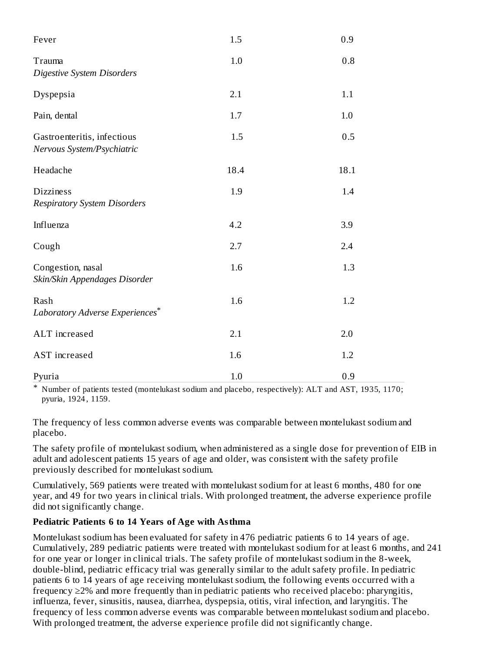| Fever                                                     | 1.5  | 0.9  |
|-----------------------------------------------------------|------|------|
| Trauma<br><b>Digestive System Disorders</b>               | 1.0  | 0.8  |
| Dyspepsia                                                 | 2.1  | 1.1  |
| Pain, dental                                              | 1.7  | 1.0  |
| Gastroenteritis, infectious<br>Nervous System/Psychiatric | 1.5  | 0.5  |
| Headache                                                  | 18.4 | 18.1 |
| <b>Dizziness</b><br><b>Respiratory System Disorders</b>   | 1.9  | 1.4  |
| Influenza                                                 | 4.2  | 3.9  |
| Cough                                                     | 2.7  | 2.4  |
| Congestion, nasal<br>Skin/Skin Appendages Disorder        | 1.6  | 1.3  |
| Rash<br>Laboratory Adverse Experiences*                   | 1.6  | 1.2  |
| ALT increased                                             | 2.1  | 2.0  |
| AST increased                                             | 1.6  | 1.2  |
| Pyuria                                                    | 1.0  | 0.9  |

\* Number of patients tested (montelukast sodium and placebo, respectively): ALT and AST, 1935, 1170; pyuria, 1924 , 1159.

The frequency of less common adverse events was comparable between montelukast sodium and placebo.

The safety profile of montelukast sodium, when administered as a single dose for prevention of EIB in adult and adolescent patients 15 years of age and older, was consistent with the safety profile previously described for montelukast sodium.

Cumulatively, 569 patients were treated with montelukast sodium for at least 6 months, 480 for one year, and 49 for two years in clinical trials. With prolonged treatment, the adverse experience profile did not significantly change.

### **Pediatric Patients 6 to 14 Years of Age with Asthma**

Montelukast sodium has been evaluated for safety in 476 pediatric patients 6 to 14 years of age. Cumulatively, 289 pediatric patients were treated with montelukast sodium for at least 6 months, and 241 for one year or longer in clinical trials. The safety profile of montelukast sodium in the 8-week, double-blind, pediatric efficacy trial was generally similar to the adult safety profile. In pediatric patients 6 to 14 years of age receiving montelukast sodium, the following events occurred with a frequency ≥2% and more frequently than in pediatric patients who received placebo: pharyngitis, influenza, fever, sinusitis, nausea, diarrhea, dyspepsia, otitis, viral infection, and laryngitis. The frequency of less common adverse events was comparable between montelukast sodium and placebo. With prolonged treatment, the adverse experience profile did not significantly change.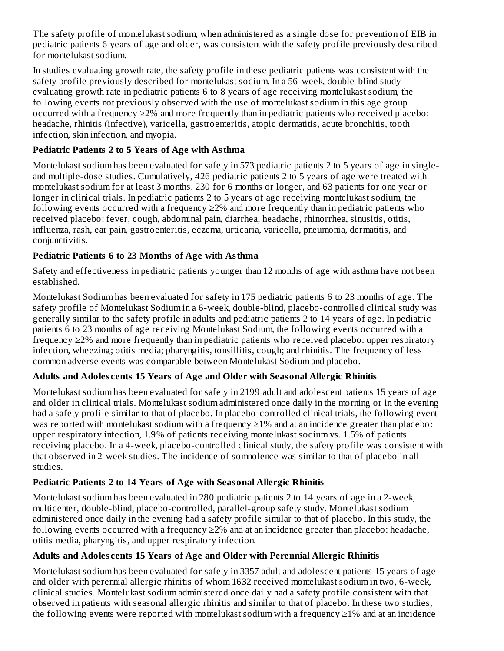The safety profile of montelukast sodium, when administered as a single dose for prevention of EIB in pediatric patients 6 years of age and older, was consistent with the safety profile previously described for montelukast sodium.

In studies evaluating growth rate, the safety profile in these pediatric patients was consistent with the safety profile previously described for montelukast sodium. In a 56-week, double-blind study evaluating growth rate in pediatric patients 6 to 8 years of age receiving montelukast sodium, the following events not previously observed with the use of montelukast sodium in this age group occurred with a frequency ≥2% and more frequently than in pediatric patients who received placebo: headache, rhinitis (infective), varicella, gastroenteritis, atopic dermatitis, acute bronchitis, tooth infection, skin infection, and myopia.

# **Pediatric Patients 2 to 5 Years of Age with Asthma**

Montelukast sodium has been evaluated for safety in 573 pediatric patients 2 to 5 years of age in singleand multiple-dose studies. Cumulatively, 426 pediatric patients 2 to 5 years of age were treated with montelukast sodium for at least 3 months, 230 for 6 months or longer, and 63 patients for one year or longer in clinical trials. In pediatric patients 2 to 5 years of age receiving montelukast sodium, the following events occurred with a frequency  $\geq$ 2% and more frequently than in pediatric patients who received placebo: fever, cough, abdominal pain, diarrhea, headache, rhinorrhea, sinusitis, otitis, influenza, rash, ear pain, gastroenteritis, eczema, urticaria, varicella, pneumonia, dermatitis, and conjunctivitis.

## **Pediatric Patients 6 to 23 Months of Age with Asthma**

Safety and effectiveness in pediatric patients younger than 12 months of age with asthma have not been established.

Montelukast Sodium has been evaluated for safety in 175 pediatric patients 6 to 23 months of age. The safety profile of Montelukast Sodium in a 6-week, double-blind, placebo-controlled clinical study was generally similar to the safety profile in adults and pediatric patients 2 to 14 years of age. In pediatric patients 6 to 23 months of age receiving Montelukast Sodium, the following events occurred with a frequency ≥2% and more frequently than in pediatric patients who received placebo: upper respiratory infection, wheezing; otitis media; pharyngitis, tonsillitis, cough; and rhinitis. The frequency of less common adverse events was comparable between Montelukast Sodium and placebo.

# **Adults and Adoles cents 15 Years of Age and Older with Seasonal Allergic Rhinitis**

Montelukast sodium has been evaluated for safety in 2199 adult and adolescent patients 15 years of age and older in clinical trials. Montelukast sodium administered once daily in the morning or in the evening had a safety profile similar to that of placebo. In placebo-controlled clinical trials, the following event was reported with montelukast sodium with a frequency  $\geq$ 1% and at an incidence greater than placebo: upper respiratory infection, 1.9% of patients receiving montelukast sodium vs. 1.5% of patients receiving placebo. In a 4-week, placebo-controlled clinical study, the safety profile was consistent with that observed in 2-week studies. The incidence of somnolence was similar to that of placebo in all studies.

# **Pediatric Patients 2 to 14 Years of Age with Seasonal Allergic Rhinitis**

Montelukast sodium has been evaluated in 280 pediatric patients 2 to 14 years of age in a 2-week, multicenter, double-blind, placebo-controlled, parallel-group safety study. Montelukast sodium administered once daily in the evening had a safety profile similar to that of placebo. In this study, the following events occurred with a frequency  $\geq 2\%$  and at an incidence greater than placebo: headache, otitis media, pharyngitis, and upper respiratory infection.

# **Adults and Adoles cents 15 Years of Age and Older with Perennial Allergic Rhinitis**

Montelukast sodium has been evaluated for safety in 3357 adult and adolescent patients 15 years of age and older with perennial allergic rhinitis of whom 1632 received montelukast sodium in two, 6-week, clinical studies. Montelukast sodium administered once daily had a safety profile consistent with that observed in patients with seasonal allergic rhinitis and similar to that of placebo. In these two studies, the following events were reported with montelukast sodium with a frequency ≥1% and at an incidence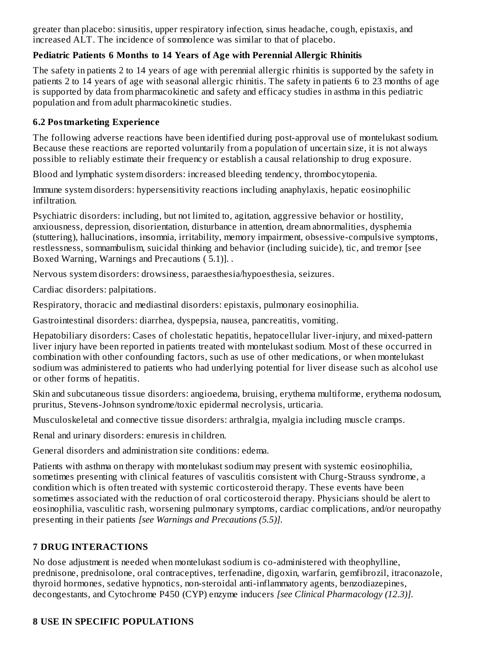greater than placebo: sinusitis, upper respiratory infection, sinus headache, cough, epistaxis, and increased ALT. The incidence of somnolence was similar to that of placebo.

## **Pediatric Patients 6 Months to 14 Years of Age with Perennial Allergic Rhinitis**

The safety in patients 2 to 14 years of age with perennial allergic rhinitis is supported by the safety in patients 2 to 14 years of age with seasonal allergic rhinitis. The safety in patients 6 to 23 months of age is supported by data from pharmacokinetic and safety and efficacy studies in asthma in this pediatric population and from adult pharmacokinetic studies.

## **6.2 Postmarketing Experience**

The following adverse reactions have been identified during post-approval use of montelukast sodium. Because these reactions are reported voluntarily from a population of uncertain size, it is not always possible to reliably estimate their frequency or establish a causal relationship to drug exposure.

Blood and lymphatic system disorders: increased bleeding tendency, thrombocytopenia.

Immune system disorders: hypersensitivity reactions including anaphylaxis, hepatic eosinophilic infiltration.

Psychiatric disorders: including, but not limited to, agitation, aggressive behavior or hostility, anxiousness, depression, disorientation, disturbance in attention, dream abnormalities, dysphemia (stuttering), hallucinations, insomnia, irritability, memory impairment, obsessive-compulsive symptoms, restlessness, somnambulism, suicidal thinking and behavior (including suicide), tic, and tremor [see Boxed Warning, Warnings and Precautions ( 5.1)]. .

Nervous system disorders: drowsiness, paraesthesia/hypoesthesia, seizures.

Cardiac disorders: palpitations.

Respiratory, thoracic and mediastinal disorders: epistaxis, pulmonary eosinophilia.

Gastrointestinal disorders: diarrhea, dyspepsia, nausea, pancreatitis, vomiting.

Hepatobiliary disorders: Cases of cholestatic hepatitis, hepatocellular liver-injury, and mixed-pattern liver injury have been reported in patients treated with montelukast sodium. Most of these occurred in combination with other confounding factors, such as use of other medications, or when montelukast sodium was administered to patients who had underlying potential for liver disease such as alcohol use or other forms of hepatitis.

Skin and subcutaneous tissue disorders: angioedema, bruising, erythema multiforme, erythema nodosum, pruritus, Stevens-Johnson syndrome/toxic epidermal necrolysis, urticaria.

Musculoskeletal and connective tissue disorders: arthralgia, myalgia including muscle cramps.

Renal and urinary disorders: enuresis in children.

General disorders and administration site conditions: edema.

Patients with asthma on therapy with montelukast sodium may present with systemic eosinophilia, sometimes presenting with clinical features of vasculitis consistent with Churg-Strauss syndrome, a condition which is often treated with systemic corticosteroid therapy. These events have been sometimes associated with the reduction of oral corticosteroid therapy. Physicians should be alert to eosinophilia, vasculitic rash, worsening pulmonary symptoms, cardiac complications, and/or neuropathy presenting in their patients *[see Warnings and Precautions (5.5)].*

# **7 DRUG INTERACTIONS**

No dose adjustment is needed when montelukast sodium is co-administered with theophylline, prednisone, prednisolone, oral contraceptives, terfenadine, digoxin, warfarin, gemfibrozil, itraconazole, thyroid hormones, sedative hypnotics, non-steroidal anti-inflammatory agents, benzodiazepines, decongestants, and Cytochrome P450 (CYP) enzyme inducers *[see Clinical Pharmacology (12.3)].*

# **8 USE IN SPECIFIC POPULATIONS**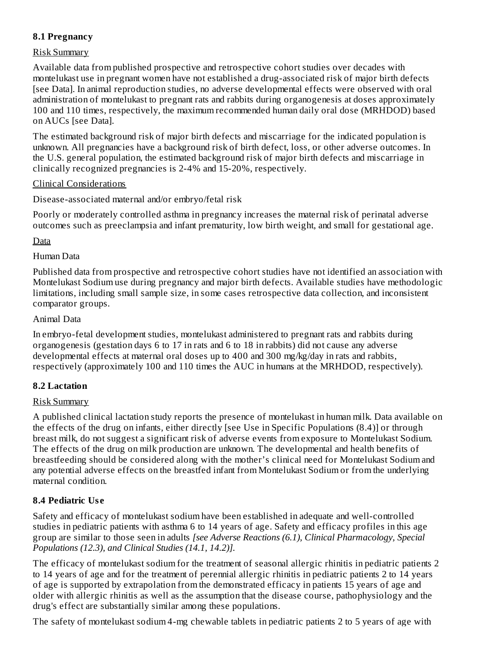### **8.1 Pregnancy**

### Risk Summary

Available data from published prospective and retrospective cohort studies over decades with montelukast use in pregnant women have not established a drug-associated risk of major birth defects [see Data]. In animal reproduction studies, no adverse developmental effects were observed with oral administration of montelukast to pregnant rats and rabbits during organogenesis at doses approximately 100 and 110 times, respectively, the maximum recommended human daily oral dose (MRHDOD) based on AUCs [see Data].

The estimated background risk of major birth defects and miscarriage for the indicated population is unknown. All pregnancies have a background risk of birth defect, loss, or other adverse outcomes. In the U.S. general population, the estimated background risk of major birth defects and miscarriage in clinically recognized pregnancies is 2-4% and 15-20%, respectively.

#### Clinical Considerations

Disease-associated maternal and/or embryo/fetal risk

Poorly or moderately controlled asthma in pregnancy increases the maternal risk of perinatal adverse outcomes such as preeclampsia and infant prematurity, low birth weight, and small for gestational age.

Data

### Human Data

Published data from prospective and retrospective cohort studies have not identified an association with Montelukast Sodium use during pregnancy and major birth defects. Available studies have methodologic limitations, including small sample size, in some cases retrospective data collection, and inconsistent comparator groups.

### Animal Data

In embryo-fetal development studies, montelukast administered to pregnant rats and rabbits during organogenesis (gestation days 6 to 17 in rats and 6 to 18 in rabbits) did not cause any adverse developmental effects at maternal oral doses up to 400 and 300 mg/kg/day in rats and rabbits, respectively (approximately 100 and 110 times the AUC in humans at the MRHDOD, respectively).

### **8.2 Lactation**

### Risk Summary

A published clinical lactation study reports the presence of montelukast in human milk. Data available on the effects of the drug on infants, either directly [see Use in Specific Populations (8.4)] or through breast milk, do not suggest a significant risk of adverse events from exposure to Montelukast Sodium. The effects of the drug on milk production are unknown. The developmental and health benefits of breastfeeding should be considered along with the mother's clinical need for Montelukast Sodium and any potential adverse effects on the breastfed infant from Montelukast Sodium or from the underlying maternal condition.

### **8.4 Pediatric Us e**

Safety and efficacy of montelukast sodium have been established in adequate and well-controlled studies in pediatric patients with asthma 6 to 14 years of age. Safety and efficacy profiles in this age group are similar to those seen in adults *[see Adverse Reactions (6.1), Clinical Pharmacology, Special Populations (12.3), and Clinical Studies (14.1, 14.2)].*

The efficacy of montelukast sodium for the treatment of seasonal allergic rhinitis in pediatric patients 2 to 14 years of age and for the treatment of perennial allergic rhinitis in pediatric patients 2 to 14 years of age is supported by extrapolation from the demonstrated efficacy in patients 15 years of age and older with allergic rhinitis as well as the assumption that the disease course, pathophysiology and the drug's effect are substantially similar among these populations.

The safety of montelukast sodium 4-mg chewable tablets in pediatric patients 2 to 5 years of age with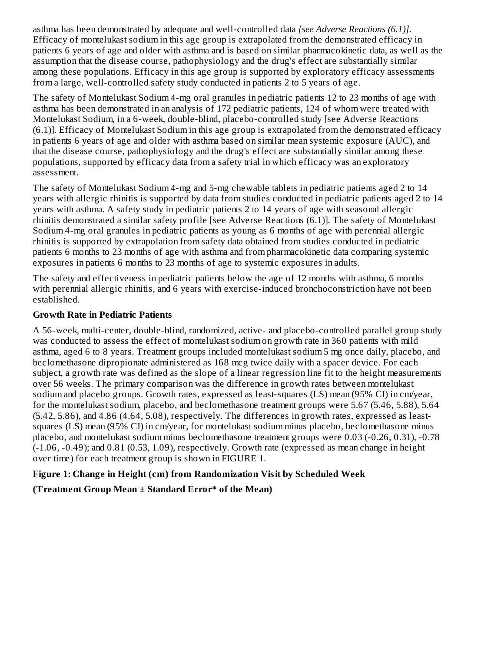asthma has been demonstrated by adequate and well-controlled data *[see Adverse Reactions (6.1)].* Efficacy of montelukast sodium in this age group is extrapolated from the demonstrated efficacy in patients 6 years of age and older with asthma and is based on similar pharmacokinetic data, as well as the assumption that the disease course, pathophysiology and the drug's effect are substantially similar among these populations. Efficacy in this age group is supported by exploratory efficacy assessments from a large, well-controlled safety study conducted in patients 2 to 5 years of age.

The safety of Montelukast Sodium 4-mg oral granules in pediatric patients 12 to 23 months of age with asthma has been demonstrated in an analysis of 172 pediatric patients, 124 of whom were treated with Montelukast Sodium, in a 6-week, double-blind, placebo-controlled study [see Adverse Reactions (6.1)]. Efficacy of Montelukast Sodium in this age group is extrapolated from the demonstrated efficacy in patients 6 years of age and older with asthma based on similar mean systemic exposure (AUC), and that the disease course, pathophysiology and the drug's effect are substantially similar among these populations, supported by efficacy data from a safety trial in which efficacy was an exploratory assessment.

The safety of Montelukast Sodium 4-mg and 5-mg chewable tablets in pediatric patients aged 2 to 14 years with allergic rhinitis is supported by data from studies conducted in pediatric patients aged 2 to 14 years with asthma. A safety study in pediatric patients 2 to 14 years of age with seasonal allergic rhinitis demonstrated a similar safety profile [see Adverse Reactions (6.1)]. The safety of Montelukast Sodium 4-mg oral granules in pediatric patients as young as 6 months of age with perennial allergic rhinitis is supported by extrapolation from safety data obtained from studies conducted in pediatric patients 6 months to 23 months of age with asthma and from pharmacokinetic data comparing systemic exposures in patients 6 months to 23 months of age to systemic exposures in adults.

The safety and effectiveness in pediatric patients below the age of 12 months with asthma, 6 months with perennial allergic rhinitis, and 6 years with exercise-induced bronchoconstriction have not been established.

### **Growth Rate in Pediatric Patients**

A 56-week, multi-center, double-blind, randomized, active- and placebo-controlled parallel group study was conducted to assess the effect of montelukast sodium on growth rate in 360 patients with mild asthma, aged 6 to 8 years. Treatment groups included montelukast sodium 5 mg once daily, placebo, and beclomethasone dipropionate administered as 168 mcg twice daily with a spacer device. For each subject, a growth rate was defined as the slope of a linear regression line fit to the height measurements over 56 weeks. The primary comparison was the difference in growth rates between montelukast sodium and placebo groups. Growth rates, expressed as least-squares (LS) mean (95% CI) in cm/year, for the montelukast sodium, placebo, and beclomethasone treatment groups were 5.67 (5.46, 5.88), 5.64 (5.42, 5.86), and 4.86 (4.64, 5.08), respectively. The differences in growth rates, expressed as leastsquares (LS) mean (95% CI) in cm/year, for montelukast sodium minus placebo, beclomethasone minus placebo, and montelukast sodium minus beclomethasone treatment groups were 0.03 (-0.26, 0.31), -0.78 (-1.06, -0.49); and 0.81 (0.53, 1.09), respectively. Growth rate (expressed as mean change in height over time) for each treatment group is shown in FIGURE 1.

### **Figure 1: Change in Height (cm) from Randomization Visit by Scheduled Week**

### **(Treatment Group Mean ± Standard Error\* of the Mean)**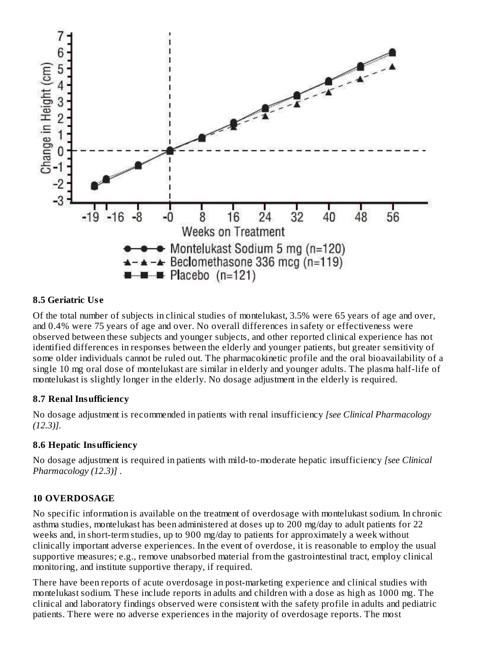

#### **8.5 Geriatric Us e**

Of the total number of subjects in clinical studies of montelukast, 3.5% were 65 years of age and over, and 0.4% were 75 years of age and over. No overall differences in safety or effectiveness were observed between these subjects and younger subjects, and other reported clinical experience has not identified differences in responses between the elderly and younger patients, but greater sensitivity of some older individuals cannot be ruled out. The pharmacokinetic profile and the oral bioavailability of a single 10 mg oral dose of montelukast are similar in elderly and younger adults. The plasma half-life of montelukast is slightly longer in the elderly. No dosage adjustment in the elderly is required.

#### **8.7 Renal Insufficiency**

No dosage adjustment is recommended in patients with renal insufficiency *[see Clinical Pharmacology (12.3)].*

#### **8.6 Hepatic Insufficiency**

No dosage adjustment is required in patients with mild-to-moderate hepatic insufficiency *[see Clinical Pharmacology (12.3)]* .

#### **10 OVERDOSAGE**

No specific information is available on the treatment of overdosage with montelukast sodium. In chronic asthma studies, montelukast has been administered at doses up to 200 mg/day to adult patients for 22 weeks and, in short-term studies, up to 900 mg/day to patients for approximately a week without clinically important adverse experiences. In the event of overdose, it is reasonable to employ the usual supportive measures; e.g., remove unabsorbed material from the gastrointestinal tract, employ clinical monitoring, and institute supportive therapy, if required.

There have been reports of acute overdosage in post-marketing experience and clinical studies with montelukast sodium. These include reports in adults and children with a dose as high as 1000 mg. The clinical and laboratory findings observed were consistent with the safety profile in adults and pediatric patients. There were no adverse experiences in the majority of overdosage reports. The most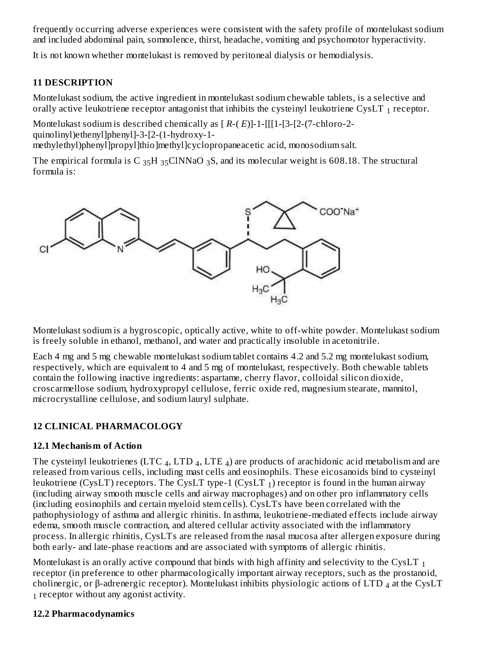frequently occurring adverse experiences were consistent with the safety profile of montelukast sodium and included abdominal pain, somnolence, thirst, headache, vomiting and psychomotor hyperactivity.

It is not known whether montelukast is removed by peritoneal dialysis or hemodialysis.

#### **11 DESCRIPTION**

Montelukast sodium, the active ingredient in montelukast sodium chewable tablets, is a selective and orally active leukotriene receptor antagonist that inhibits the cysteinyl leukotriene CysLT  $_{\rm 1}$  receptor.

Montelukast sodium is described chemically as [ *R*-( *E*)]-1-[[[1-[3-[2-(7-chloro-2 quinolinyl)ethenyl]phenyl]-3-[2-(1-hydroxy-1-

methylethyl)phenyl]propyl]thio]methyl]cyclopropaneacetic acid, monosodium salt.

The empirical formula is C  $_{35}$ H  $_{35}$ ClNNaO  $_{3}$ S, and its molecular weight is 608.18. The structural formula is:



Montelukast sodium is a hygroscopic, optically active, white to off-white powder. Montelukast sodium is freely soluble in ethanol, methanol, and water and practically insoluble in acetonitrile.

Each 4 mg and 5 mg chewable montelukast sodium tablet contains 4.2 and 5.2 mg montelukast sodium, respectively, which are equivalent to 4 and 5 mg of montelukast, respectively. Both chewable tablets contain the following inactive ingredients: aspartame, cherry flavor, colloidal silicon dioxide, croscarmellose sodium, hydroxypropyl cellulose, ferric oxide red, magnesium stearate, mannitol, microcrystalline cellulose, and sodium lauryl sulphate.

### **12 CLINICAL PHARMACOLOGY**

### **12.1 Mechanism of Action**

The cysteinyl leukotrienes (LTC  $_4$ , LTD  $_4$ , LTE  $_4$ ) are products of arachidonic acid metabolism and are released from various cells, including mast cells and eosinophils. These eicosanoids bind to cysteinyl leukotriene (CysLT) receptors. The CysLT type-1 (CysLT  $_1$ ) receptor is found in the human airway (including airway smooth muscle cells and airway macrophages) and on other pro inflammatory cells (including eosinophils and certain myeloid stem cells). CysLTs have been correlated with the pathophysiology of asthma and allergic rhinitis. In asthma, leukotriene-mediated effects include airway edema, smooth muscle contraction, and altered cellular activity associated with the inflammatory process. In allergic rhinitis, CysLTs are released from the nasal mucosa after allergen exposure during both early- and late-phase reactions and are associated with symptoms of allergic rhinitis.

Montelukast is an orally active compound that binds with high affinity and selectivity to the CysLT  $_{\rm 1}$ receptor (in preference to other pharmacologically important airway receptors, such as the prostanoid, cholinergic, or β-adrenergic receptor). Montelukast inhibits physiologic actions of LTD  $_4$  at the CysLT  $_1$  receptor without any agonist activity.

#### **12.2 Pharmacodynamics**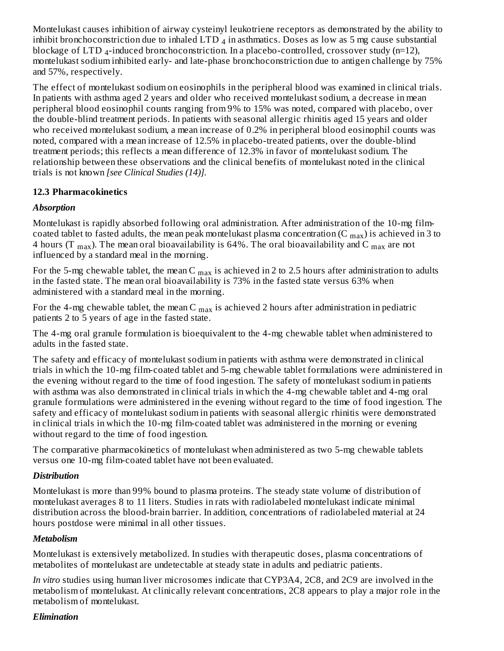Montelukast causes inhibition of airway cysteinyl leukotriene receptors as demonstrated by the ability to inhibit bronchoconstriction due to inhaled LTD  $_4$  in asthmatics. Doses as low as 5 mg cause substantial blockage of LTD 4-induced bronchoconstriction. In a placebo-controlled, crossover study (n=12), montelukast sodium inhibited early- and late-phase bronchoconstriction due to antigen challenge by 75% and 57%, respectively.

The effect of montelukast sodium on eosinophils in the peripheral blood was examined in clinical trials. In patients with asthma aged 2 years and older who received montelukast sodium, a decrease in mean peripheral blood eosinophil counts ranging from 9% to 15% was noted, compared with placebo, over the double-blind treatment periods. In patients with seasonal allergic rhinitis aged 15 years and older who received montelukast sodium, a mean increase of 0.2% in peripheral blood eosinophil counts was noted, compared with a mean increase of 12.5% in placebo-treated patients, over the double-blind treatment periods; this reflects a mean difference of 12.3% in favor of montelukast sodium. The relationship between these observations and the clinical benefits of montelukast noted in the clinical trials is not known *[see Clinical Studies (14)].*

# **12.3 Pharmacokinetics**

## *Absorption*

Montelukast is rapidly absorbed following oral administration. After administration of the 10-mg filmcoated tablet to fasted adults, the mean peak montelukast plasma concentration (C  $_{\rm max}$ ) is achieved in 3 to 4 hours (T  $_{\rm max}$ ). The mean oral bioavailability is 64%. The oral bioavailability and C  $_{\rm max}$  are not influenced by a standard meal in the morning.

For the 5-mg chewable tablet, the mean C  $_{\rm max}$  is achieved in 2 to 2.5 hours after administration to adults in the fasted state. The mean oral bioavailability is 73% in the fasted state versus 63% when administered with a standard meal in the morning.

For the 4-mg chewable tablet, the mean C  $_{\rm max}$  is achieved 2 hours after administration in pediatric patients 2 to 5 years of age in the fasted state.

The 4-mg oral granule formulation is bioequivalent to the 4-mg chewable tablet when administered to adults in the fasted state.

The safety and efficacy of montelukast sodium in patients with asthma were demonstrated in clinical trials in which the 10-mg film-coated tablet and 5-mg chewable tablet formulations were administered in the evening without regard to the time of food ingestion. The safety of montelukast sodium in patients with asthma was also demonstrated in clinical trials in which the 4-mg chewable tablet and 4-mg oral granule formulations were administered in the evening without regard to the time of food ingestion. The safety and efficacy of montelukast sodium in patients with seasonal allergic rhinitis were demonstrated in clinical trials in which the 10-mg film-coated tablet was administered in the morning or evening without regard to the time of food ingestion.

The comparative pharmacokinetics of montelukast when administered as two 5-mg chewable tablets versus one 10-mg film-coated tablet have not been evaluated.

### *Distribution*

Montelukast is more than 99% bound to plasma proteins. The steady state volume of distribution of montelukast averages 8 to 11 liters. Studies in rats with radiolabeled montelukast indicate minimal distribution across the blood-brain barrier. In addition, concentrations of radiolabeled material at 24 hours postdose were minimal in all other tissues.

### *Metabolism*

Montelukast is extensively metabolized. In studies with therapeutic doses, plasma concentrations of metabolites of montelukast are undetectable at steady state in adults and pediatric patients.

*In vitro* studies using human liver microsomes indicate that CYP3A4, 2C8, and 2C9 are involved in the metabolism of montelukast. At clinically relevant concentrations, 2C8 appears to play a major role in the metabolism of montelukast.

### *Elimination*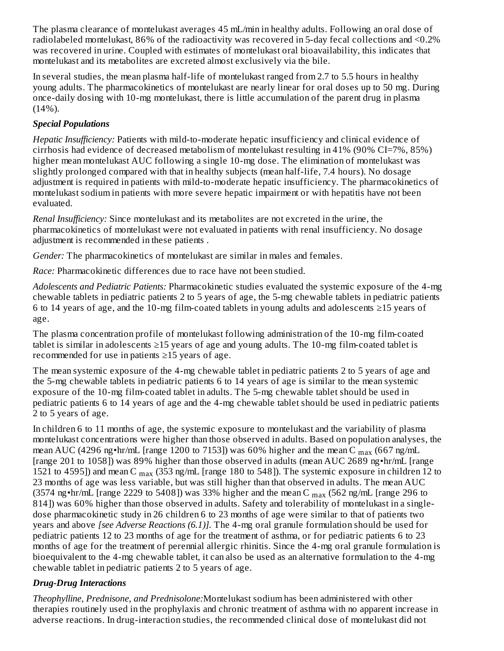The plasma clearance of montelukast averages 45 mL/min in healthy adults. Following an oral dose of radiolabeled montelukast, 86% of the radioactivity was recovered in 5-day fecal collections and <0.2% was recovered in urine. Coupled with estimates of montelukast oral bioavailability, this indicates that montelukast and its metabolites are excreted almost exclusively via the bile.

In several studies, the mean plasma half-life of montelukast ranged from 2.7 to 5.5 hours in healthy young adults. The pharmacokinetics of montelukast are nearly linear for oral doses up to 50 mg. During once-daily dosing with 10-mg montelukast, there is little accumulation of the parent drug in plasma (14%).

# *Special Populations*

*Hepatic Insufficiency:* Patients with mild-to-moderate hepatic insufficiency and clinical evidence of cirrhosis had evidence of decreased metabolism of montelukast resulting in 41% (90% CI=7%, 85%) higher mean montelukast AUC following a single 10-mg dose. The elimination of montelukast was slightly prolonged compared with that in healthy subjects (mean half-life, 7.4 hours). No dosage adjustment is required in patients with mild-to-moderate hepatic insufficiency. The pharmacokinetics of montelukast sodium in patients with more severe hepatic impairment or with hepatitis have not been evaluated.

*Renal Insufficiency:* Since montelukast and its metabolites are not excreted in the urine, the pharmacokinetics of montelukast were not evaluated in patients with renal insufficiency. No dosage adjustment is recommended in these patients *.*

*Gender:* The pharmacokinetics of montelukast are similar in males and females.

*Race:* Pharmacokinetic differences due to race have not been studied.

*Adolescents and Pediatric Patients:* Pharmacokinetic studies evaluated the systemic exposure of the 4-mg chewable tablets in pediatric patients 2 to 5 years of age, the 5-mg chewable tablets in pediatric patients 6 to 14 years of age, and the 10-mg film-coated tablets in young adults and adolescents ≥15 years of age.

The plasma concentration profile of montelukast following administration of the 10-mg film-coated tablet is similar in adolescents  $\geq$ 15 years of age and young adults. The 10-mg film-coated tablet is recommended for use in patients ≥15 years of age.

The mean systemic exposure of the 4-mg chewable tablet in pediatric patients 2 to 5 years of age and the 5-mg chewable tablets in pediatric patients 6 to 14 years of age is similar to the mean systemic exposure of the 10-mg film-coated tablet in adults. The 5-mg chewable tablet should be used in pediatric patients 6 to 14 years of age and the 4-mg chewable tablet should be used in pediatric patients 2 to 5 years of age.

In children 6 to 11 months of age, the systemic exposure to montelukast and the variability of plasma montelukast concentrations were higher than those observed in adults. Based on population analyses, the mean AUC (4296 ng•hr/mL [range 1200 to 7153]) was 60% higher and the mean C  $_{\rm max}$  (667 ng/mL [range 201 to 1058]) was 89% higher than those observed in adults (mean AUC 2689 ng•hr/mL [range 1521 to 4595]) and mean C  $_{\rm max}$  (353 ng/mL [range 180 to 548]). The systemic exposure in children 12 to 23 months of age was less variable, but was still higher than that observed in adults. The mean AUC (3574 ng•hr/mL [range 2229 to 5408]) was 33% higher and the mean C  $_{\text{max}}$  (562 ng/mL [range 296 to 814]) was 60% higher than those observed in adults. Safety and tolerability of montelukast in a singledose pharmacokinetic study in 26 children 6 to 23 months of age were similar to that of patients two years and above *[see Adverse Reactions (6.1)].* The 4-mg oral granule formulation should be used for pediatric patients 12 to 23 months of age for the treatment of asthma, or for pediatric patients 6 to 23 months of age for the treatment of perennial allergic rhinitis. Since the 4-mg oral granule formulation is bioequivalent to the 4-mg chewable tablet, it can also be used as an alternative formulation to the 4-mg chewable tablet in pediatric patients 2 to 5 years of age.

### *Drug-Drug Interactions*

*Theophylline, Prednisone, and Prednisolone:*Montelukast sodium has been administered with other therapies routinely used in the prophylaxis and chronic treatment of asthma with no apparent increase in adverse reactions. In drug-interaction studies, the recommended clinical dose of montelukast did not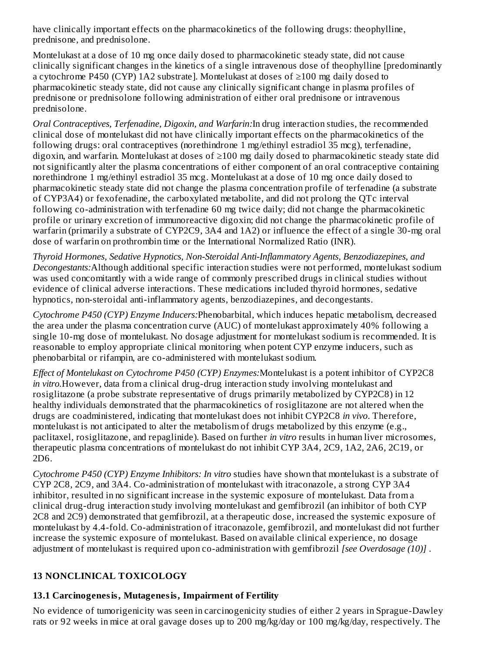have clinically important effects on the pharmacokinetics of the following drugs: theophylline, prednisone, and prednisolone.

Montelukast at a dose of 10 mg once daily dosed to pharmacokinetic steady state, did not cause clinically significant changes in the kinetics of a single intravenous dose of theophylline [predominantly a cytochrome P450 (CYP) 1A2 substrate]. Montelukast at doses of ≥100 mg daily dosed to pharmacokinetic steady state, did not cause any clinically significant change in plasma profiles of prednisone or prednisolone following administration of either oral prednisone or intravenous prednisolone.

*Oral Contraceptives, Terfenadine, Digoxin, and Warfarin:*In drug interaction studies, the recommended clinical dose of montelukast did not have clinically important effects on the pharmacokinetics of the following drugs: oral contraceptives (norethindrone 1 mg/ethinyl estradiol 35 mcg), terfenadine, digoxin, and warfarin. Montelukast at doses of ≥100 mg daily dosed to pharmacokinetic steady state did not significantly alter the plasma concentrations of either component of an oral contraceptive containing norethindrone 1 mg/ethinyl estradiol 35 mcg. Montelukast at a dose of 10 mg once daily dosed to pharmacokinetic steady state did not change the plasma concentration profile of terfenadine (a substrate of CYP3A4) or fexofenadine, the carboxylated metabolite, and did not prolong the QTc interval following co-administration with terfenadine 60 mg twice daily; did not change the pharmacokinetic profile or urinary excretion of immunoreactive digoxin; did not change the pharmacokinetic profile of warfarin (primarily a substrate of CYP2C9, 3A4 and 1A2) or influence the effect of a single 30-mg oral dose of warfarin on prothrombin time or the International Normalized Ratio (INR).

*Thyroid Hormones, Sedative Hypnotics, Non-Steroidal Anti-Inflammatory Agents, Benzodiazepines, and Decongestants:*Although additional specific interaction studies were not performed, montelukast sodium was used concomitantly with a wide range of commonly prescribed drugs in clinical studies without evidence of clinical adverse interactions. These medications included thyroid hormones, sedative hypnotics, non-steroidal anti-inflammatory agents, benzodiazepines, and decongestants.

*Cytochrome P450 (CYP) Enzyme Inducers:*Phenobarbital, which induces hepatic metabolism, decreased the area under the plasma concentration curve (AUC) of montelukast approximately 40% following a single 10-mg dose of montelukast. No dosage adjustment for montelukast sodium is recommended. It is reasonable to employ appropriate clinical monitoring when potent CYP enzyme inducers, such as phenobarbital or rifampin, are co-administered with montelukast sodium.

*Effect of Montelukast on Cytochrome P450 (CYP) Enzymes:*Montelukast is a potent inhibitor of CYP2C8 *in vitro.*However, data from a clinical drug-drug interaction study involving montelukast and rosiglitazone (a probe substrate representative of drugs primarily metabolized by CYP2C8) in 12 healthy individuals demonstrated that the pharmacokinetics of rosiglitazone are not altered when the drugs are coadministered, indicating that montelukast does not inhibit CYP2C8 *in vivo*. Therefore, montelukast is not anticipated to alter the metabolism of drugs metabolized by this enzyme (e.g., paclitaxel, rosiglitazone, and repaglinide). Based on further *in vitro* results in human liver microsomes, therapeutic plasma concentrations of montelukast do not inhibit CYP 3A4, 2C9, 1A2, 2A6, 2C19, or 2D6.

*Cytochrome P450 (CYP) Enzyme Inhibitors: In vitro* studies have shown that montelukast is a substrate of CYP 2C8, 2C9, and 3A4. Co-administration of montelukast with itraconazole, a strong CYP 3A4 inhibitor, resulted in no significant increase in the systemic exposure of montelukast. Data from a clinical drug-drug interaction study involving montelukast and gemfibrozil (an inhibitor of both CYP 2C8 and 2C9) demonstrated that gemfibrozil, at a therapeutic dose, increased the systemic exposure of montelukast by 4.4-fold. Co-administration of itraconazole, gemfibrozil, and montelukast did not further increase the systemic exposure of montelukast. Based on available clinical experience, no dosage adjustment of montelukast is required upon co-administration with gemfibrozil *[see Overdosage (10)]* .

### **13 NONCLINICAL TOXICOLOGY**

### **13.1 Carcinogenesis, Mutagenesis, Impairment of Fertility**

No evidence of tumorigenicity was seen in carcinogenicity studies of either 2 years in Sprague-Dawley rats or 92 weeks in mice at oral gavage doses up to 200 mg/kg/day or 100 mg/kg/day, respectively. The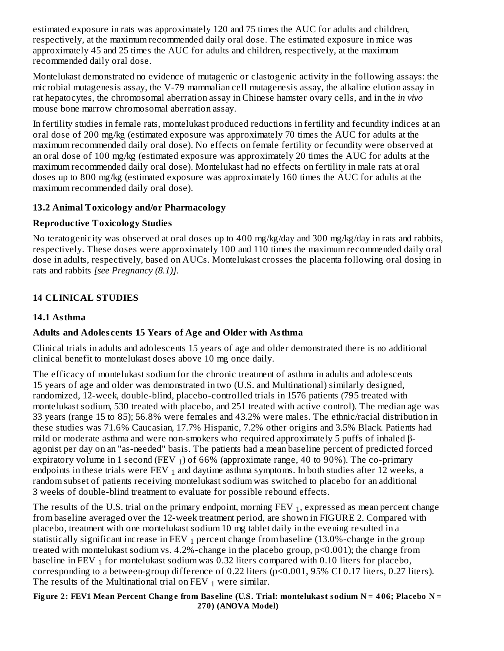estimated exposure in rats was approximately 120 and 75 times the AUC for adults and children, respectively, at the maximum recommended daily oral dose. The estimated exposure in mice was approximately 45 and 25 times the AUC for adults and children, respectively, at the maximum recommended daily oral dose.

Montelukast demonstrated no evidence of mutagenic or clastogenic activity in the following assays: the microbial mutagenesis assay, the V-79 mammalian cell mutagenesis assay, the alkaline elution assay in rat hepatocytes, the chromosomal aberration assay in Chinese hamster ovary cells, and in the *in vivo* mouse bone marrow chromosomal aberration assay.

In fertility studies in female rats, montelukast produced reductions in fertility and fecundity indices at an oral dose of 200 mg/kg (estimated exposure was approximately 70 times the AUC for adults at the maximum recommended daily oral dose). No effects on female fertility or fecundity were observed at an oral dose of 100 mg/kg (estimated exposure was approximately 20 times the AUC for adults at the maximum recommended daily oral dose). Montelukast had no effects on fertility in male rats at oral doses up to 800 mg/kg (estimated exposure was approximately 160 times the AUC for adults at the maximum recommended daily oral dose).

## **13.2 Animal Toxicology and/or Pharmacology**

### **Reproductive Toxicology Studies**

No teratogenicity was observed at oral doses up to 400 mg/kg/day and 300 mg/kg/day in rats and rabbits, respectively. These doses were approximately 100 and 110 times the maximum recommended daily oral dose in adults, respectively, based on AUCs. Montelukast crosses the placenta following oral dosing in rats and rabbits *[see Pregnancy (8.1)].*

# **14 CLINICAL STUDIES**

## **14.1 Asthma**

# **Adults and Adoles cents 15 Years of Age and Older with Asthma**

Clinical trials in adults and adolescents 15 years of age and older demonstrated there is no additional clinical benefit to montelukast doses above 10 mg once daily.

The efficacy of montelukast sodium for the chronic treatment of asthma in adults and adolescents 15 years of age and older was demonstrated in two (U.S. and Multinational) similarly designed, randomized, 12-week, double-blind, placebo-controlled trials in 1576 patients (795 treated with montelukast sodium, 530 treated with placebo, and 251 treated with active control). The median age was 33 years (range 15 to 85); 56.8% were females and 43.2% were males. The ethnic/racial distribution in these studies was 71.6% Caucasian, 17.7% Hispanic, 7.2% other origins and 3.5% Black. Patients had mild or moderate asthma and were non-smokers who required approximately 5 puffs of inhaled βagonist per day on an "as-needed" basis. The patients had a mean baseline percent of predicted forced expiratory volume in 1 second (FEV  $_1$ ) of 66% (approximate range, 40 to 90%). The co-primary endpoints in these trials were FEV  $_1$  and daytime asthma symptoms. In both studies after 12 weeks, a random subset of patients receiving montelukast sodium was switched to placebo for an additional 3 weeks of double-blind treatment to evaluate for possible rebound effects.

The results of the U.S. trial on the primary endpoint, morning FEV  $_1$ , expressed as mean percent change from baseline averaged over the 12-week treatment period, are shown in FIGURE 2. Compared with placebo, treatment with one montelukast sodium 10 mg tablet daily in the evening resulted in a statistically significant increase in FEV  $_{\rm 1}$  percent change from baseline (13.0%-change in the group treated with montelukast sodium vs. 4.2%-change in the placebo group, p<0.001); the change from baseline in FEV  $_{\rm 1}$  for montelukast sodium was 0.32 liters compared with 0.10 liters for placebo, corresponding to a between-group difference of 0.22 liters (p<0.001, 95% CI 0.17 liters, 0.27 liters). The results of the Multinational trial on FEV  $_1$  were similar.

Figure 2: FEV1 Mean Percent Change from Baseline (U.S. Trial: montelukast sodium N = 406; Placebo N = **270) (ANOVA Model)**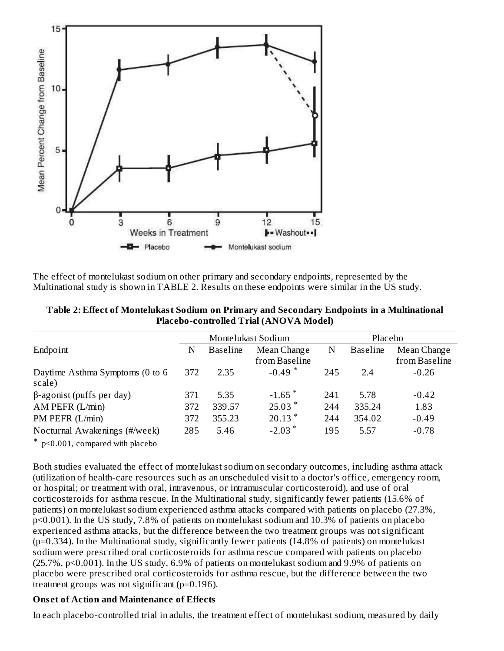

The effect of montelukast sodium on other primary and secondary endpoints, represented by the Multinational study is shown in TABLE 2. Results on these endpoints were similar in the US study.

| Table 2: Effect of Montelukast Sodium on Primary and Secondary Endpoints in a Multinational |
|---------------------------------------------------------------------------------------------|
| Placebo-controlled Trial (ANOVA Model)                                                      |

|                                           | Montelukast Sodium                  |        |                      | Placebo         |             |               |  |
|-------------------------------------------|-------------------------------------|--------|----------------------|-----------------|-------------|---------------|--|
| Endpoint                                  | <b>Baseline</b><br>Mean Change<br>N |        | N                    | <b>Baseline</b> | Mean Change |               |  |
|                                           |                                     |        | from Baseline        |                 |             | from Baseline |  |
| Daytime Asthma Symptoms (0 to 6<br>scale) | 372                                 | 2.35   | $-0.49$ <sup>*</sup> | 245             | 2.4         | $-0.26$       |  |
| $\beta$ -agonist (puffs per day)          | 371                                 | 5.35   | $-1.65$ <sup>*</sup> | 241             | 5.78        | $-0.42$       |  |
| AM PEFR (L/min)                           | 372                                 | 339.57 | $25.03*$             | 244             | 335.24      | 1.83          |  |
| PM PEFR (L/min)                           | 372                                 | 355.23 | $20.13$ <sup>*</sup> | 244             | 354.02      | $-0.49$       |  |
| Nocturnal Awakenings (#/week)             | 285                                 | 5.46   | $-2.03$ <sup>*</sup> | 195             | 5.57        | $-0.78$       |  |

\* p<0.001, compared with placebo

Both studies evaluated the effect of montelukast sodium on secondary outcomes, including asthma attack (utilization of health-care resources such as an unscheduled visit to a doctor's office, emergency room, or hospital; or treatment with oral, intravenous, or intramuscular corticosteroid), and use of oral corticosteroids for asthma rescue. In the Multinational study, significantly fewer patients (15.6% of patients) on montelukast sodium experienced asthma attacks compared with patients on placebo (27.3%, p<0.001). In the US study, 7.8% of patients on montelukast sodium and 10.3% of patients on placebo experienced asthma attacks, but the difference between the two treatment groups was not significant (p=0.334). In the Multinational study, significantly fewer patients (14.8% of patients) on montelukast sodium were prescribed oral corticosteroids for asthma rescue compared with patients on placebo (25.7%, p<0.001). In the US study, 6.9% of patients on montelukast sodium and 9.9% of patients on placebo were prescribed oral corticosteroids for asthma rescue, but the difference between the two treatment groups was not significant (p=0.196).

#### **Ons et of Action and Maintenance of Effects**

In each placebo-controlled trial in adults, the treatment effect of montelukast sodium, measured by daily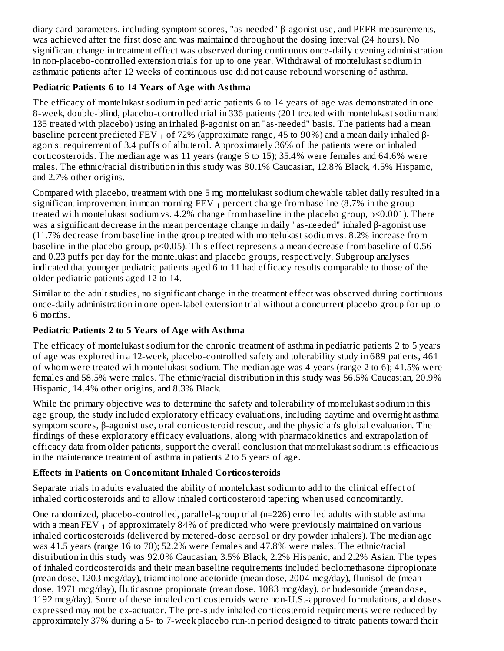diary card parameters, including symptom scores, "as-needed" β-agonist use, and PEFR measurements, was achieved after the first dose and was maintained throughout the dosing interval (24 hours). No significant change in treatment effect was observed during continuous once-daily evening administration in non-placebo-controlled extension trials for up to one year. Withdrawal of montelukast sodium in asthmatic patients after 12 weeks of continuous use did not cause rebound worsening of asthma.

### **Pediatric Patients 6 to 14 Years of Age with Asthma**

The efficacy of montelukast sodium in pediatric patients 6 to 14 years of age was demonstrated in one 8-week, double-blind, placebo-controlled trial in 336 patients (201 treated with montelukast sodium and 135 treated with placebo) using an inhaled β-agonist on an "as-needed" basis. The patients had a mean baseline percent predicted FEV  $_1$  of 72% (approximate range, 45 to 90%) and a mean daily inhaled βagonist requirement of 3.4 puffs of albuterol. Approximately 36% of the patients were on inhaled corticosteroids. The median age was 11 years (range 6 to 15); 35.4% were females and 64.6% were males. The ethnic/racial distribution in this study was 80.1% Caucasian, 12.8% Black, 4.5% Hispanic, and 2.7% other origins.

Compared with placebo, treatment with one 5 mg montelukast sodium chewable tablet daily resulted in a significant improvement in mean morning FEV  $_1$  percent change from baseline (8.7% in the group treated with montelukast sodium vs. 4.2% change from baseline in the placebo group, p<0.001). There was a significant decrease in the mean percentage change in daily "as-needed" inhaled β-agonist use (11.7% decrease from baseline in the group treated with montelukast sodium vs. 8.2% increase from baseline in the placebo group, p<0.05). This effect represents a mean decrease from baseline of 0.56 and 0.23 puffs per day for the montelukast and placebo groups, respectively. Subgroup analyses indicated that younger pediatric patients aged 6 to 11 had efficacy results comparable to those of the older pediatric patients aged 12 to 14.

Similar to the adult studies, no significant change in the treatment effect was observed during continuous once-daily administration in one open-label extension trial without a concurrent placebo group for up to 6 months.

# **Pediatric Patients 2 to 5 Years of Age with Asthma**

The efficacy of montelukast sodium for the chronic treatment of asthma in pediatric patients 2 to 5 years of age was explored in a 12-week, placebo-controlled safety and tolerability study in 689 patients, 461 of whom were treated with montelukast sodium. The median age was 4 years (range 2 to 6); 41.5% were females and 58.5% were males. The ethnic/racial distribution in this study was 56.5% Caucasian, 20.9% Hispanic, 14.4% other origins, and 8.3% Black.

While the primary objective was to determine the safety and tolerability of montelukast sodium in this age group, the study included exploratory efficacy evaluations, including daytime and overnight asthma symptom scores, β-agonist use, oral corticosteroid rescue, and the physician's global evaluation. The findings of these exploratory efficacy evaluations, along with pharmacokinetics and extrapolation of efficacy data from older patients, support the overall conclusion that montelukast sodium is efficacious in the maintenance treatment of asthma in patients 2 to 5 years of age.

# **Effects in Patients on Concomitant Inhaled Corticosteroids**

Separate trials in adults evaluated the ability of montelukast sodium to add to the clinical effect of inhaled corticosteroids and to allow inhaled corticosteroid tapering when used concomitantly.

One randomized, placebo-controlled, parallel-group trial (n=226) enrolled adults with stable asthma with a mean FEV  $_{\rm 1}$  of approximately 84% of predicted who were previously maintained on various inhaled corticosteroids (delivered by metered-dose aerosol or dry powder inhalers). The median age was 41.5 years (range 16 to 70); 52.2% were females and 47.8% were males. The ethnic/racial distribution in this study was 92.0% Caucasian, 3.5% Black, 2.2% Hispanic, and 2.2% Asian. The types of inhaled corticosteroids and their mean baseline requirements included beclomethasone dipropionate (mean dose, 1203 mcg/day), triamcinolone acetonide (mean dose, 2004 mcg/day), flunisolide (mean dose, 1971 mcg/day), fluticasone propionate (mean dose, 1083 mcg/day), or budesonide (mean dose, 1192 mcg/day). Some of these inhaled corticosteroids were non-U.S.-approved formulations, and doses expressed may not be ex-actuator. The pre-study inhaled corticosteroid requirements were reduced by approximately 37% during a 5- to 7-week placebo run-in period designed to titrate patients toward their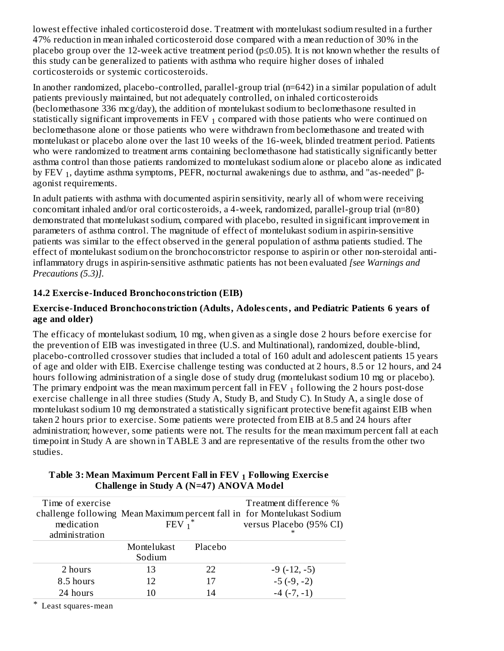lowest effective inhaled corticosteroid dose. Treatment with montelukast sodium resulted in a further 47% reduction in mean inhaled corticosteroid dose compared with a mean reduction of 30% in the placebo group over the 12-week active treatment period ( $p \le 0.05$ ). It is not known whether the results of this study can be generalized to patients with asthma who require higher doses of inhaled corticosteroids or systemic corticosteroids.

In another randomized, placebo-controlled, parallel-group trial (n=642) in a similar population of adult patients previously maintained, but not adequately controlled, on inhaled corticosteroids (beclomethasone 336 mcg/day), the addition of montelukast sodium to beclomethasone resulted in statistically significant improvements in FEV  $_1$  compared with those patients who were continued on beclomethasone alone or those patients who were withdrawn from beclomethasone and treated with montelukast or placebo alone over the last 10 weeks of the 16-week, blinded treatment period. Patients who were randomized to treatment arms containing beclomethasone had statistically significantly better asthma control than those patients randomized to montelukast sodium alone or placebo alone as indicated by FEV  $_1$ , daytime asthma symptoms, PEFR, nocturnal awakenings due to asthma, and "as-needed" βagonist requirements.

In adult patients with asthma with documented aspirin sensitivity, nearly all of whom were receiving concomitant inhaled and/or oral corticosteroids, a 4-week, randomized, parallel-group trial (n=80) demonstrated that montelukast sodium, compared with placebo, resulted in significant improvement in parameters of asthma control. The magnitude of effect of montelukast sodium in aspirin-sensitive patients was similar to the effect observed in the general population of asthma patients studied. The effect of montelukast sodium on the bronchoconstrictor response to aspirin or other non-steroidal antiinflammatory drugs in aspirin-sensitive asthmatic patients has not been evaluated *[see Warnings and Precautions (5.3)].*

### **14.2 Exercis e-Induced Bronchoconstriction (EIB)**

#### **Exercis e-Induced Bronchoconstriction (Adults, Adoles cents, and Pediatric Patients 6 years of age and older)**

The efficacy of montelukast sodium, 10 mg, when given as a single dose 2 hours before exercise for the prevention of EIB was investigated in three (U.S. and Multinational), randomized, double-blind, placebo-controlled crossover studies that included a total of 160 adult and adolescent patients 15 years of age and older with EIB. Exercise challenge testing was conducted at 2 hours, 8.5 or 12 hours, and 24 hours following administration of a single dose of study drug (montelukast sodium 10 mg or placebo). The primary endpoint was the mean maximum percent fall in FEV  $_1$  following the 2 hours post-dose exercise challenge in all three studies (Study A, Study B, and Study C). In Study A, a single dose of montelukast sodium 10 mg demonstrated a statistically significant protective benefit against EIB when taken 2 hours prior to exercise. Some patients were protected from EIB at 8.5 and 24 hours after administration; however, some patients were not. The results for the mean maximum percent fall at each timepoint in Study A are shown in TABLE 3 and are representative of the results from the other two studies.

| Time of exercise<br>medication<br>administration | $FEV_1$ <sup>*</sup>  |         | Treatment difference %<br>challenge following Mean Maximum percent fall in for Montelukast Sodium<br>versus Placebo (95% CI) |
|--------------------------------------------------|-----------------------|---------|------------------------------------------------------------------------------------------------------------------------------|
|                                                  | Montelukast<br>Sodium | Placebo |                                                                                                                              |
| 2 hours                                          | 13                    | 22      | $-9(-12,-5)$                                                                                                                 |
| 8.5 hours                                        | 12                    | 17      | $-5(-9, -2)$                                                                                                                 |
| 24 hours                                         | 10                    | 14      | $-4$ ( $-7$ , $-1$ )                                                                                                         |

#### **Table 3: Mean Maximum Percent Fall in FEV Following Exercis e 1 Challenge in Study A (N=47) ANOVA Model**

\* Least squares-mean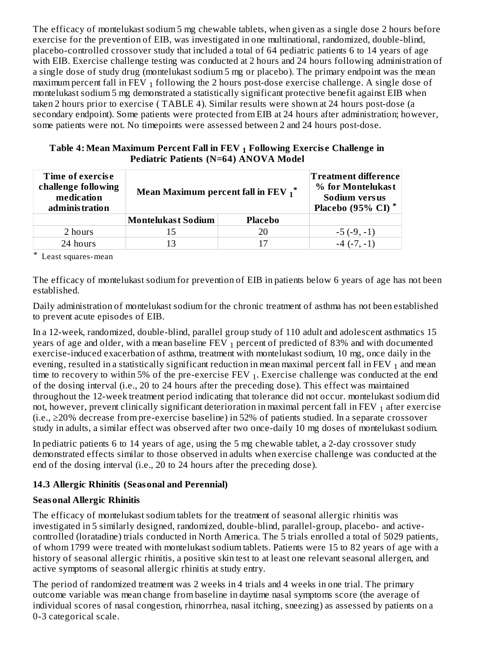The efficacy of montelukast sodium 5 mg chewable tablets, when given as a single dose 2 hours before exercise for the prevention of EIB, was investigated in one multinational, randomized, double-blind, placebo-controlled crossover study that included a total of 64 pediatric patients 6 to 14 years of age with EIB. Exercise challenge testing was conducted at 2 hours and 24 hours following administration of a single dose of study drug (montelukast sodium 5 mg or placebo). The primary endpoint was the mean maximum percent fall in FEV  $_{\rm 1}$  following the 2 hours post-dose exercise challenge. A single dose of montelukast sodium 5 mg demonstrated a statistically significant protective benefit against EIB when taken 2 hours prior to exercise ( TABLE 4). Similar results were shown at 24 hours post-dose (a secondary endpoint). Some patients were protected from EIB at 24 hours after administration; however, some patients were not. No timepoints were assessed between 2 and 24 hours post-dose.

**Table 4: Mean Maximum Percent Fall in FEV Following Exercis e Challenge in 1 Pediatric Patients (N=64) ANOVA Model**

| Time of exercise<br>challenge following<br>medication<br>administration | Mean Maximum percent fall in FEV $_1$ <sup>*</sup> | <b>Treatment difference</b><br>% for Montelukast<br>Sodium versus<br>Placebo (95% CI) |                      |  |
|-------------------------------------------------------------------------|----------------------------------------------------|---------------------------------------------------------------------------------------|----------------------|--|
|                                                                         | <b>Placebo</b><br><b>Montelukast Sodium</b>        |                                                                                       |                      |  |
| 2 hours                                                                 | 15                                                 | 20                                                                                    | $-5(-9,-1)$          |  |
| 24 hours                                                                | 13                                                 | 17                                                                                    | $-4$ ( $-7$ , $-1$ ) |  |

\* Least squares-mean

The efficacy of montelukast sodium for prevention of EIB in patients below 6 years of age has not been established.

Daily administration of montelukast sodium for the chronic treatment of asthma has not been established to prevent acute episodes of EIB.

In a 12-week, randomized, double-blind, parallel group study of 110 adult and adolescent asthmatics 15 years of age and older, with a mean baseline FEV  $_1$  percent of predicted of 83% and with documented exercise-induced exacerbation of asthma, treatment with montelukast sodium, 10 mg, once daily in the evening, resulted in a statistically significant reduction in mean maximal percent fall in FEV  $_{\rm 1}$  and mean time to recovery to within 5% of the pre-exercise FEV  $_1$ . Exercise challenge was conducted at the end of the dosing interval (i.e., 20 to 24 hours after the preceding dose). This effect was maintained throughout the 12-week treatment period indicating that tolerance did not occur. montelukast sodium did not, however, prevent clinically significant deterioration in maximal percent fall in FEV  $_{\rm 1}$  after exercise (i.e., ≥20% decrease from pre-exercise baseline) in 52% of patients studied. In a separate crossover study in adults, a similar effect was observed after two once-daily 10 mg doses of montelukast sodium.

In pediatric patients 6 to 14 years of age, using the 5 mg chewable tablet, a 2-day crossover study demonstrated effects similar to those observed in adults when exercise challenge was conducted at the end of the dosing interval (i.e., 20 to 24 hours after the preceding dose).

# **14.3 Allergic Rhinitis (Seasonal and Perennial)**

### **Seasonal Allergic Rhinitis**

The efficacy of montelukast sodium tablets for the treatment of seasonal allergic rhinitis was investigated in 5 similarly designed, randomized, double-blind, parallel-group, placebo- and activecontrolled (loratadine) trials conducted in North America. The 5 trials enrolled a total of 5029 patients, of whom 1799 were treated with montelukast sodium tablets. Patients were 15 to 82 years of age with a history of seasonal allergic rhinitis, a positive skin test to at least one relevant seasonal allergen, and active symptoms of seasonal allergic rhinitis at study entry.

The period of randomized treatment was 2 weeks in 4 trials and 4 weeks in one trial. The primary outcome variable was mean change from baseline in daytime nasal symptoms score (the average of individual scores of nasal congestion, rhinorrhea, nasal itching, sneezing) as assessed by patients on a 0-3 categorical scale.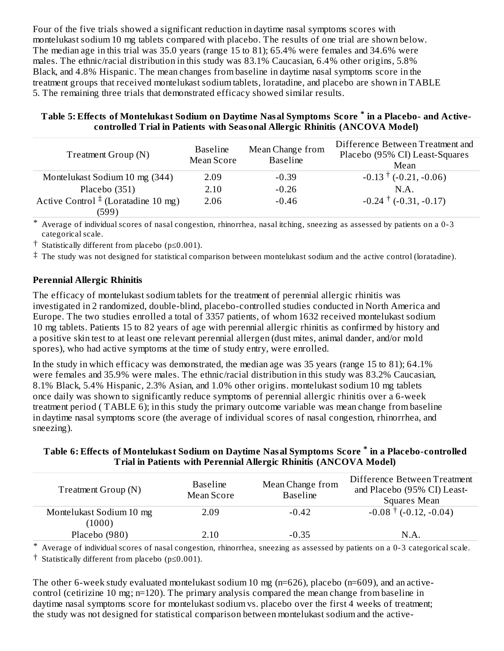Four of the five trials showed a significant reduction in daytime nasal symptoms scores with montelukast sodium 10 mg tablets compared with placebo. The results of one trial are shown below. The median age in this trial was 35.0 years (range 15 to 81); 65.4% were females and 34.6% were males. The ethnic/racial distribution in this study was 83.1% Caucasian, 6.4% other origins, 5.8% Black, and 4.8% Hispanic. The mean changes from baseline in daytime nasal symptoms score in the treatment groups that received montelukast sodium tablets, loratadine, and placebo are shown in TABLE 5. The remaining three trials that demonstrated efficacy showed similar results.

| Table 5: Effects of Montelukast Sodium on Daytime Nasal Symptoms Score * in a Placebo- and Active-<br>controlled Trial in Patients with Seasonal Allergic Rhinitis (ANCOVA Model) |
|-----------------------------------------------------------------------------------------------------------------------------------------------------------------------------------|
| Difference Between Treatment and                                                                                                                                                  |

| Treatment Group (N)                     | <b>Baseline</b><br>Mean Score | Mean Change from<br><b>Baseline</b> | Difference Between Treatment and<br>Placebo (95% CI) Least-Squares<br>Mean |
|-----------------------------------------|-------------------------------|-------------------------------------|----------------------------------------------------------------------------|
| Montelukast Sodium 10 mg (344)          | 2.09                          | $-0.39$                             | $-0.13 \pm (-0.21, -0.06)$                                                 |
| Placebo (351)                           | 2.10                          | $-0.26$                             | N.A.                                                                       |
| Active Control $\pm$ (Loratadine 10 mg) | 2.06                          | $-0.46$                             | $-0.24$ <sup>†</sup> (-0.31, -0.17)                                        |
| (599)                                   |                               |                                     |                                                                            |

\* Average of individual scores of nasal congestion, rhinorrhea, nasal itching, sneezing as assessed by patients on a 0-3 categorical scale.

† Statistically different from placebo (p≤0.001).

 $^\ddag$  The study was not designed for statistical comparison between montelukast sodium and the active control (loratadine).

### **Perennial Allergic Rhinitis**

The efficacy of montelukast sodium tablets for the treatment of perennial allergic rhinitis was investigated in 2 randomized, double-blind, placebo-controlled studies conducted in North America and Europe. The two studies enrolled a total of 3357 patients, of whom 1632 received montelukast sodium 10 mg tablets. Patients 15 to 82 years of age with perennial allergic rhinitis as confirmed by history and a positive skin test to at least one relevant perennial allergen (dust mites, animal dander, and/or mold spores), who had active symptoms at the time of study entry, were enrolled.

In the study in which efficacy was demonstrated, the median age was 35 years (range 15 to 81); 64.1% were females and 35.9% were males. The ethnic/racial distribution in this study was 83.2% Caucasian, 8.1% Black, 5.4% Hispanic, 2.3% Asian, and 1.0% other origins. montelukast sodium 10 mg tablets once daily was shown to significantly reduce symptoms of perennial allergic rhinitis over a 6-week treatment period ( TABLE 6); in this study the primary outcome variable was mean change from baseline in daytime nasal symptoms score (the average of individual scores of nasal congestion, rhinorrhea, and sneezing).

### **Table 6: Effects of Montelukast Sodium on Daytime Nasal Symptoms Score in a Placebo-controlled \* Trial in Patients with Perennial Allergic Rhinitis (ANCOVA Model)**

| <b>Baseline</b><br>Treatment Group (N)<br>Mean Score |      | Mean Change from<br><b>Baseline</b> | Difference Between Treatment<br>and Placebo (95% CI) Least-<br>Squares Mean |  |  |
|------------------------------------------------------|------|-------------------------------------|-----------------------------------------------------------------------------|--|--|
| Montelukast Sodium 10 mg<br>(1000)                   | 2.09 | $-0.42$                             | $-0.08$ <sup>†</sup> (-0.12, -0.04)                                         |  |  |
| Placebo (980)                                        | 2.10 | $-0.35$                             | N.A                                                                         |  |  |

\* Average of individual scores of nasal congestion, rhinorrhea, sneezing as assessed by patients on a 0-3 categorical scale.

† Statistically different from placebo (p≤0.001).

The other 6-week study evaluated montelukast sodium 10 mg (n=626), placebo (n=609), and an activecontrol (cetirizine 10 mg; n=120). The primary analysis compared the mean change from baseline in daytime nasal symptoms score for montelukast sodium vs. placebo over the first 4 weeks of treatment; the study was not designed for statistical comparison between montelukast sodium and the active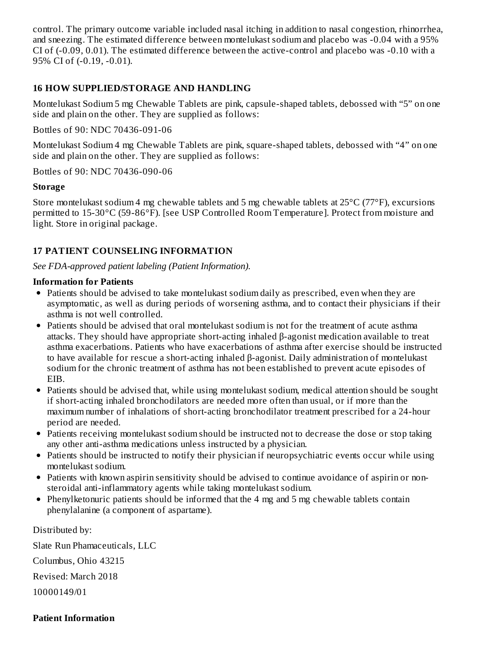control. The primary outcome variable included nasal itching in addition to nasal congestion, rhinorrhea, and sneezing. The estimated difference between montelukast sodium and placebo was -0.04 with a 95% CI of (-0.09, 0.01). The estimated difference between the active-control and placebo was -0.10 with a 95% CI of (-0.19, -0.01).

#### **16 HOW SUPPLIED/STORAGE AND HANDLING**

Montelukast Sodium 5 mg Chewable Tablets are pink, capsule-shaped tablets, debossed with "5" on one side and plain on the other. They are supplied as follows:

Bottles of 90: NDC 70436-091-06

Montelukast Sodium 4 mg Chewable Tablets are pink, square-shaped tablets, debossed with "4" on one side and plain on the other. They are supplied as follows:

Bottles of 90: NDC 70436-090-06

#### **Storage**

Store montelukast sodium 4 mg chewable tablets and 5 mg chewable tablets at 25°C (77°F), excursions permitted to 15-30°C (59-86°F). [see USP Controlled Room Temperature]. Protect from moisture and light. Store in original package.

### **17 PATIENT COUNSELING INFORMATION**

*See FDA-approved patient labeling (Patient Information).*

#### **Information for Patients**

- Patients should be advised to take montelukast sodium daily as prescribed, even when they are asymptomatic, as well as during periods of worsening asthma, and to contact their physicians if their asthma is not well controlled.
- Patients should be advised that oral montelukast sodium is not for the treatment of acute asthma attacks. They should have appropriate short-acting inhaled β-agonist medication available to treat asthma exacerbations. Patients who have exacerbations of asthma after exercise should be instructed to have available for rescue a short-acting inhaled β-agonist. Daily administration of montelukast sodium for the chronic treatment of asthma has not been established to prevent acute episodes of EIB.
- Patients should be advised that, while using montelukast sodium, medical attention should be sought if short-acting inhaled bronchodilators are needed more often than usual, or if more than the maximum number of inhalations of short-acting bronchodilator treatment prescribed for a 24-hour period are needed.
- Patients receiving montelukast sodium should be instructed not to decrease the dose or stop taking any other anti-asthma medications unless instructed by a physician.
- Patients should be instructed to notify their physician if neuropsychiatric events occur while using montelukast sodium.
- Patients with known aspirin sensitivity should be advised to continue avoidance of aspirin or nonsteroidal anti-inflammatory agents while taking montelukast sodium.
- Phenylketonuric patients should be informed that the 4 mg and 5 mg chewable tablets contain phenylalanine (a component of aspartame).

Distributed by: Slate Run Phamaceuticals, LLC Columbus, Ohio 43215 Revised: March 2018 10000149/01

#### **Patient Information**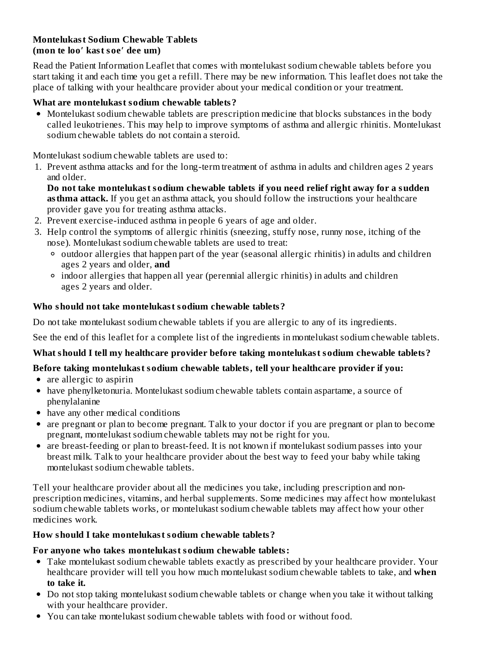#### **Montelukast Sodium Chewable Tablets (mon te loo′ kast soe′ dee um)**

Read the Patient Information Leaflet that comes with montelukast sodium chewable tablets before you start taking it and each time you get a refill. There may be new information. This leaflet does not take the place of talking with your healthcare provider about your medical condition or your treatment.

### **What are montelukast sodium chewable tablets?**

• Montelukast sodium chewable tablets are prescription medicine that blocks substances in the body called leukotrienes. This may help to improve symptoms of asthma and allergic rhinitis. Montelukast sodium chewable tablets do not contain a steroid.

Montelukast sodium chewable tablets are used to:

1. Prevent asthma attacks and for the long-term treatment of asthma in adults and children ages 2 years and older.

**Do not take montelukast sodium chewable tablets if you need relief right away for a sudden asthma attack.** If you get an asthma attack, you should follow the instructions your healthcare provider gave you for treating asthma attacks.

- 2. Prevent exercise-induced asthma in people 6 years of age and older.
- 3. Help control the symptoms of allergic rhinitis (sneezing, stuffy nose, runny nose, itching of the nose). Montelukast sodium chewable tablets are used to treat:
	- outdoor allergies that happen part of the year (seasonal allergic rhinitis) in adults and children ages 2 years and older, **and**
	- indoor allergies that happen all year (perennial allergic rhinitis) in adults and children ages 2 years and older.

### **Who should not take montelukast sodium chewable tablets?**

Do not take montelukast sodium chewable tablets if you are allergic to any of its ingredients.

See the end of this leaflet for a complete list of the ingredients in montelukast sodium chewable tablets.

### **What should I tell my healthcare provider before taking montelukast sodium chewable tablets?**

### **Before taking montelukast sodium chewable tablets, tell your healthcare provider if you:**

- are allergic to aspirin
- have phenylketonuria. Montelukast sodium chewable tablets contain aspartame, a source of phenylalanine
- have any other medical conditions
- are pregnant or plan to become pregnant. Talk to your doctor if you are pregnant or plan to become pregnant, montelukast sodium chewable tablets may not be right for you.
- are breast-feeding or plan to breast-feed. It is not known if montelukast sodium passes into your breast milk. Talk to your healthcare provider about the best way to feed your baby while taking montelukast sodium chewable tablets.

Tell your healthcare provider about all the medicines you take, including prescription and nonprescription medicines, vitamins, and herbal supplements. Some medicines may affect how montelukast sodium chewable tablets works, or montelukast sodium chewable tablets may affect how your other medicines work.

### **How should I take montelukast sodium chewable tablets?**

#### **For anyone who takes montelukast sodium chewable tablets:**

- Take montelukast sodium chewable tablets exactly as prescribed by your healthcare provider. Your healthcare provider will tell you how much montelukast sodium chewable tablets to take, and **when to take it.**
- Do not stop taking montelukast sodium chewable tablets or change when you take it without talking with your healthcare provider.
- You can take montelukast sodium chewable tablets with food or without food.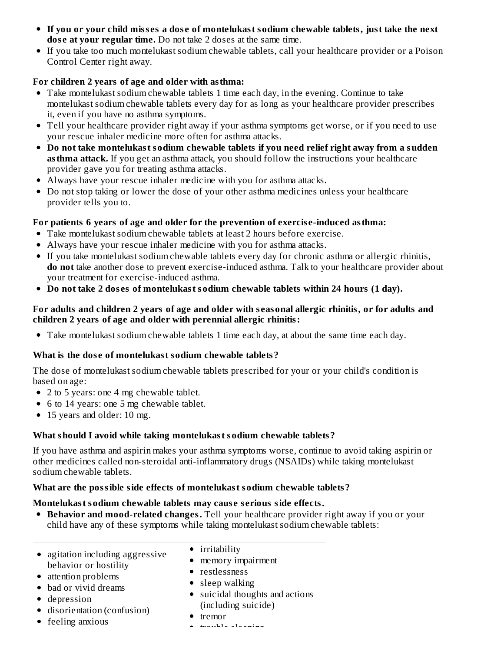- If you or your child misses a dose of montelukast sodium chewable tablets, just take the next **dos e at your regular time.** Do not take 2 doses at the same time.
- If you take too much montelukast sodium chewable tablets, call your healthcare provider or a Poison Control Center right away.

# **For children 2 years of age and older with asthma:**

- Take montelukast sodium chewable tablets 1 time each day, in the evening. Continue to take montelukast sodium chewable tablets every day for as long as your healthcare provider prescribes it, even if you have no asthma symptoms.
- Tell your healthcare provider right away if your asthma symptoms get worse, or if you need to use your rescue inhaler medicine more often for asthma attacks.
- **Do not take montelukast sodium chewable tablets if you need relief right away from a sudden asthma attack.** If you get an asthma attack, you should follow the instructions your healthcare provider gave you for treating asthma attacks.
- Always have your rescue inhaler medicine with you for asthma attacks.
- Do not stop taking or lower the dose of your other asthma medicines unless your healthcare provider tells you to.

### **For patients 6 years of age and older for the prevention of exercis e-induced asthma:**

- Take montelukast sodium chewable tablets at least 2 hours before exercise.
- Always have your rescue inhaler medicine with you for asthma attacks.
- If you take montelukast sodium chewable tablets every day for chronic asthma or allergic rhinitis, **do not** take another dose to prevent exercise-induced asthma. Talk to your healthcare provider about your treatment for exercise-induced asthma.
- **Do not take 2 dos es of montelukast sodium chewable tablets within 24 hours (1 day).**

### For adults and children 2 years of age and older with seasonal allergic rhinitis, or for adults and **children 2 years of age and older with perennial allergic rhinitis:**

Take montelukast sodium chewable tablets 1 time each day, at about the same time each day.

### **What is the dos e of montelukast sodium chewable tablets?**

The dose of montelukast sodium chewable tablets prescribed for your or your child's condition is based on age:

- 2 to 5 years: one 4 mg chewable tablet.
- 6 to 14 years: one 5 mg chewable tablet.
- 15 years and older: 10 mg.

### **What should I avoid while taking montelukast sodium chewable tablets?**

If you have asthma and aspirin makes your asthma symptoms worse, continue to avoid taking aspirin or other medicines called non-steroidal anti-inflammatory drugs (NSAIDs) while taking montelukast sodium chewable tablets.

### **What are the possible side effects of montelukast sodium chewable tablets?**

### **Montelukast sodium chewable tablets may caus e s erious side effects.**

- **Behavior and mood-related changes.** Tell your healthcare provider right away if you or your child have any of these symptoms while taking montelukast sodium chewable tablets:
- agitation including aggressive behavior or hostility
- attention problems
- bad or vivid dreams
- depression
- disorientation (confusion)
- feeling anxious
- irritability
- memory impairment
- restlessness
- sleep walking
- suicidal thoughts and actions (including suicide)
- tremor
- trouble sleeping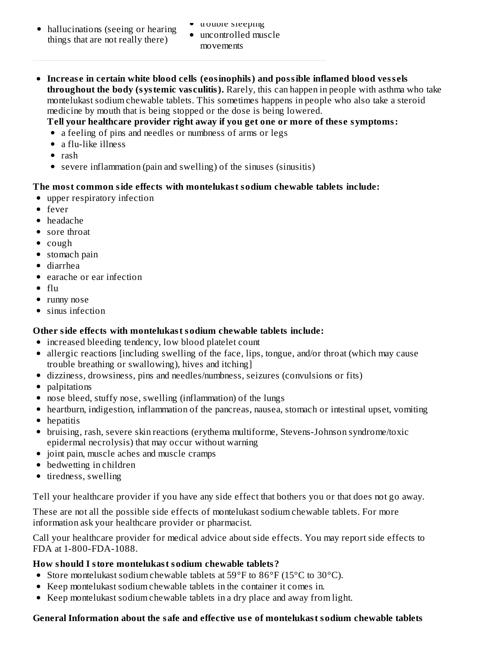- hallucinations (seeing or hearing things that are not really there)
- trouble sleeping
- uncontrolled muscle movements
- **Increas e in certain white blood cells (eosinophils) and possible inflamed blood vess els throughout the body (systemic vas culitis).** Rarely, this can happen in people with asthma who take montelukast sodium chewable tablets. This sometimes happens in people who also take a steroid medicine by mouth that is being stopped or the dose is being lowered.

**Tell your healthcare provider right away if you get one or more of thes e symptoms:**

- a feeling of pins and needles or numbness of arms or legs
- a flu-like illness
- $\bullet$  rash
- severe inflammation (pain and swelling) of the sinuses (sinusitis)

# **The most common side effects with montelukast sodium chewable tablets include:**

- upper respiratory infection
- fever
- headache
- sore throat
- cough
- stomach pain
- diarrhea
- earache or ear infection
- $\bullet$  flu
- runny nose
- sinus infection

# **Other side effects with montelukast sodium chewable tablets include:**

- increased bleeding tendency, low blood platelet count
- allergic reactions [including swelling of the face, lips, tongue, and/or throat (which may cause trouble breathing or swallowing), hives and itching]
- dizziness, drowsiness, pins and needles/numbness, seizures (convulsions or fits)
- palpitations
- nose bleed, stuffy nose, swelling (inflammation) of the lungs
- heartburn, indigestion, inflammation of the pancreas, nausea, stomach or intestinal upset, vomiting
- hepatitis
- bruising, rash, severe skin reactions (erythema multiforme, Stevens-Johnson syndrome/toxic epidermal necrolysis) that may occur without warning
- joint pain, muscle aches and muscle cramps
- bedwetting in children
- tiredness, swelling

Tell your healthcare provider if you have any side effect that bothers you or that does not go away.

These are not all the possible side effects of montelukast sodium chewable tablets. For more information ask your healthcare provider or pharmacist.

Call your healthcare provider for medical advice about side effects. You may report side effects to FDA at 1-800-FDA-1088.

# **How should I store montelukast sodium chewable tablets?**

- Store montelukast sodium chewable tablets at  $59^{\circ}$ F to  $86^{\circ}$ F (15 $^{\circ}$ C to 30 $^{\circ}$ C).
- Keep montelukast sodium chewable tablets in the container it comes in.
- Keep montelukast sodium chewable tablets in a dry place and away from light.

# **General Information about the safe and effective us e of montelukast sodium chewable tablets**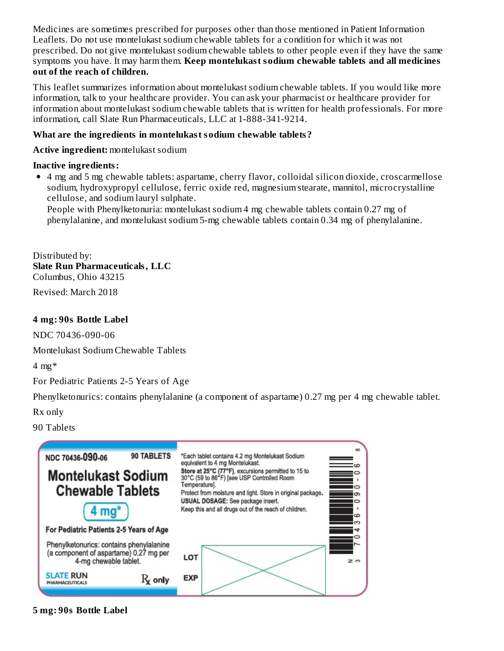Medicines are sometimes prescribed for purposes other than those mentioned in Patient Information Leaflets. Do not use montelukast sodium chewable tablets for a condition for which it was not prescribed. Do not give montelukast sodium chewable tablets to other people even if they have the same symptoms you have. It may harm them. **Keep montelukast sodium chewable tablets and all medicines out of the reach of children.**

This leaflet summarizes information about montelukast sodium chewable tablets. If you would like more information, talk to your healthcare provider. You can ask your pharmacist or healthcare provider for information about montelukast sodium chewable tablets that is written for health professionals. For more information, call Slate Run Pharmaceuticals, LLC at 1-888-341-9214.

### **What are the ingredients in montelukast sodium chewable tablets?**

**Active ingredient:** montelukast sodium

### **Inactive ingredients:**

4 mg and 5 mg chewable tablets: aspartame, cherry flavor, colloidal silicon dioxide, croscarmellose sodium, hydroxypropyl cellulose, ferric oxide red, magnesium stearate, mannitol, microcrystalline cellulose, and sodium lauryl sulphate.

People with Phenylketonuria: montelukast sodium 4 mg chewable tablets contain 0.27 mg of phenylalanine, and montelukast sodium 5-mg chewable tablets contain 0.34 mg of phenylalanine.

Distributed by: **Slate Run Pharmaceuticals, LLC** Columbus, Ohio 43215

Revised: March 2018

### **4 mg: 90s Bottle Label**

NDC 70436-090-06

Montelukast Sodium Chewable Tablets

4 mg\*

For Pediatric Patients 2-5 Years of Age

Phenylketonurics: contains phenylalanine (a component of aspartame) 0.27 mg per 4 mg chewable tablet.

Rx only

90 Tablets



#### **5 mg: 90s Bottle Label**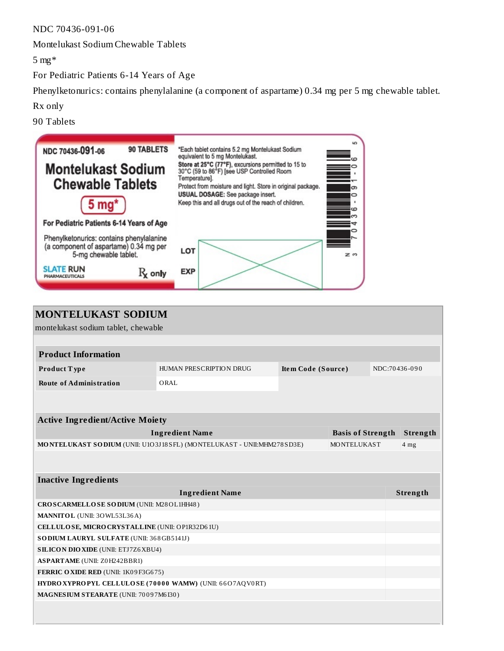NDC 70436-091-06

Montelukast Sodium Chewable Tablets

5 mg\*

For Pediatric Patients 6-14 Years of Age

Phenylketonurics: contains phenylalanine (a component of aspartame) 0.34 mg per 5 mg chewable tablet.

Rx only

90 Tablets

| <b>90 TABLETS</b><br>NDC 70436-091-06<br><b>Montelukast Sodium</b><br><b>Chewable Tablets</b><br>$5 \text{ mg}^*$<br>For Pediatric Patients 6-14 Years of Age | <b>LC</b><br>*Each tablet contains 5.2 mg Montelukast Sodium<br>equivalent to 5 mg Montelukast.<br>cΩ<br>Store at 25°C (77°F), excursions permitted to 15 to<br>30°C (59 to 86 <sup>3</sup> F) [see USP Controlled Room<br>Temperature].<br>Protect from moisture and light. Store in original package.<br>ග<br>USUAL DOSAGE: See package insert.<br>Keep this and all drugs out of the reach of children.<br>iю |
|---------------------------------------------------------------------------------------------------------------------------------------------------------------|------------------------------------------------------------------------------------------------------------------------------------------------------------------------------------------------------------------------------------------------------------------------------------------------------------------------------------------------------------------------------------------------------------------|
| Phenylketonurics: contains phenylalanine<br>(a component of aspartame) 0.34 mg per<br>5-mg chewable tablet.                                                   | LOT<br>z o                                                                                                                                                                                                                                                                                                                                                                                                       |
| <b>SLATE RUN</b><br>$\mathrm{R}_{\mathbf{k}}$ only<br>PHARMACEUTICALS                                                                                         | <b>EXP</b>                                                                                                                                                                                                                                                                                                                                                                                                       |

| <b>MONTELUKAST SODIUM</b>                                |                                                                       |                           |                          |               |                 |
|----------------------------------------------------------|-----------------------------------------------------------------------|---------------------------|--------------------------|---------------|-----------------|
| montelukast sodium tablet, chewable                      |                                                                       |                           |                          |               |                 |
|                                                          |                                                                       |                           |                          |               |                 |
| <b>Product Information</b>                               |                                                                       |                           |                          |               |                 |
| Product Type                                             | HUMAN PRESCRIPTION DRUG                                               | <b>Item Code (Source)</b> |                          | NDC:70436-090 |                 |
| <b>Route of Administration</b>                           | ORAL                                                                  |                           |                          |               |                 |
|                                                          |                                                                       |                           |                          |               |                 |
|                                                          |                                                                       |                           |                          |               |                 |
| <b>Active Ingredient/Active Moiety</b>                   |                                                                       |                           |                          |               |                 |
|                                                          | <b>Ingredient Name</b>                                                |                           | <b>Basis of Strength</b> |               | Strength        |
|                                                          | MONTELUKAST SODIUM (UNII: U1O3J18SFL) (MONTELUKAST - UNII:MHM278SD3E) |                           | MONTELUKAST              |               | 4 <sub>mg</sub> |
|                                                          |                                                                       |                           |                          |               |                 |
|                                                          |                                                                       |                           |                          |               |                 |
| <b>Inactive Ingredients</b>                              |                                                                       |                           |                          |               |                 |
| <b>Ingredient Name</b>                                   |                                                                       |                           |                          |               |                 |
| CROSCARMELLOSE SODIUM (UNII: M28OL1HH48)                 |                                                                       |                           |                          |               |                 |
| MANNITOL (UNII: 30WL53L36A)                              |                                                                       |                           |                          |               |                 |
| CELLULOSE, MICRO CRYSTALLINE (UNII: OP1R32D61U)          |                                                                       |                           |                          |               |                 |
| SO DIUM LAURYL SULFATE (UNII: 368GB5141J)                |                                                                       |                           |                          |               |                 |
| <b>SILICON DIO XIDE (UNII: ETJ7Z6 XBU4)</b>              |                                                                       |                           |                          |               |                 |
| <b>ASPARTAME</b> (UNII: Z0H242BBR1)                      |                                                                       |                           |                          |               |                 |
| FERRIC OXIDE RED (UNII: 1K09F3G675)                      |                                                                       |                           |                          |               |                 |
| HYDRO XYPROPYL CELLULOSE (70000 WAMW) (UNII: 66O7AQV0RT) |                                                                       |                           |                          |               |                 |
| MAGNESIUM STEARATE (UNII: 70097M6130)                    |                                                                       |                           |                          |               |                 |
|                                                          |                                                                       |                           |                          |               |                 |
|                                                          |                                                                       |                           |                          |               |                 |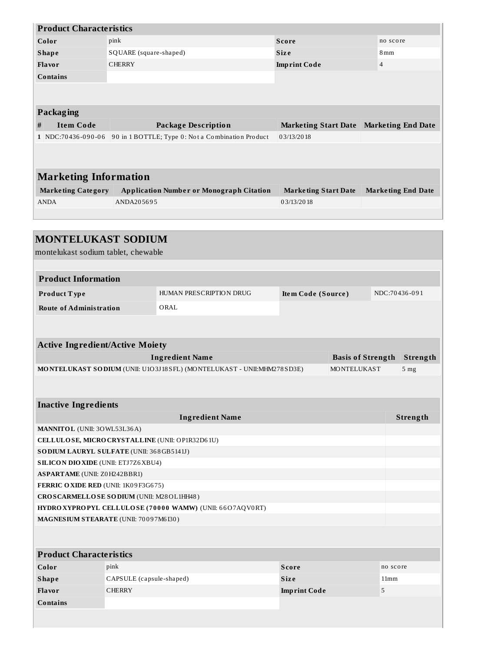| <b>Product Characteristics</b>                                 |                                                                                |                                                                       |                             |                     |                 |                           |  |  |  |  |
|----------------------------------------------------------------|--------------------------------------------------------------------------------|-----------------------------------------------------------------------|-----------------------------|---------------------|-----------------|---------------------------|--|--|--|--|
| Color                                                          | pink                                                                           |                                                                       | <b>Score</b>                |                     | no score        |                           |  |  |  |  |
| <b>Shape</b>                                                   | SQUARE (square-shaped)                                                         |                                                                       | <b>Size</b>                 |                     | 8 <sub>mm</sub> |                           |  |  |  |  |
| Flavor                                                         | <b>CHERRY</b>                                                                  |                                                                       | <b>Imprint Code</b>         |                     |                 | $\overline{4}$            |  |  |  |  |
| <b>Contains</b>                                                |                                                                                |                                                                       |                             |                     |                 |                           |  |  |  |  |
|                                                                |                                                                                |                                                                       |                             |                     |                 |                           |  |  |  |  |
|                                                                |                                                                                |                                                                       |                             |                     |                 |                           |  |  |  |  |
| <b>Packaging</b>                                               |                                                                                |                                                                       |                             |                     |                 |                           |  |  |  |  |
| <b>Item Code</b><br>#                                          |                                                                                | <b>Package Description</b>                                            | <b>Marketing Start Date</b> |                     |                 | <b>Marketing End Date</b> |  |  |  |  |
|                                                                |                                                                                | 1 NDC:70436-090-06 90 in 1 BOTTLE; Type 0: Not a Combination Product  | 03/13/2018                  |                     |                 |                           |  |  |  |  |
|                                                                |                                                                                |                                                                       |                             |                     |                 |                           |  |  |  |  |
| <b>Marketing Information</b>                                   |                                                                                |                                                                       |                             |                     |                 |                           |  |  |  |  |
|                                                                |                                                                                |                                                                       |                             |                     |                 |                           |  |  |  |  |
| <b>Marketing Category</b><br><b>ANDA</b>                       | <b>Application Number or Monograph Citation</b><br><b>Marketing Start Date</b> |                                                                       | <b>Marketing End Date</b>   |                     |                 |                           |  |  |  |  |
|                                                                | ANDA205695                                                                     |                                                                       | 03/13/2018                  |                     |                 |                           |  |  |  |  |
|                                                                |                                                                                |                                                                       |                             |                     |                 |                           |  |  |  |  |
| <b>MONTELUKAST SODIUM</b>                                      |                                                                                |                                                                       |                             |                     |                 |                           |  |  |  |  |
|                                                                |                                                                                |                                                                       |                             |                     |                 |                           |  |  |  |  |
| montelukast sodium tablet, chewable                            |                                                                                |                                                                       |                             |                     |                 |                           |  |  |  |  |
|                                                                |                                                                                |                                                                       |                             |                     |                 |                           |  |  |  |  |
| <b>Product Information</b>                                     |                                                                                |                                                                       |                             |                     |                 |                           |  |  |  |  |
| Product Type                                                   |                                                                                | HUMAN PRESCRIPTION DRUG                                               |                             | Item Code (Source)  |                 | NDC:70436-091             |  |  |  |  |
| <b>Route of Administration</b>                                 |                                                                                | ORAL                                                                  |                             |                     |                 |                           |  |  |  |  |
|                                                                |                                                                                |                                                                       |                             |                     |                 |                           |  |  |  |  |
|                                                                |                                                                                |                                                                       |                             |                     |                 |                           |  |  |  |  |
| <b>Active Ingredient/Active Moiety</b>                         |                                                                                |                                                                       |                             |                     |                 |                           |  |  |  |  |
| <b>Ingredient Name</b><br><b>Basis of Strength</b><br>Strength |                                                                                |                                                                       |                             |                     |                 |                           |  |  |  |  |
|                                                                |                                                                                | MONTELUKAST SODIUM (UNII: U1O3J18SFL) (MONTELUKAST - UNII:MHM278SD3E) |                             | MONTELUKAST<br>5 mg |                 |                           |  |  |  |  |
|                                                                |                                                                                |                                                                       |                             |                     |                 |                           |  |  |  |  |
|                                                                |                                                                                |                                                                       |                             |                     |                 |                           |  |  |  |  |
| <b>Inactive Ingredients</b>                                    |                                                                                |                                                                       |                             |                     |                 |                           |  |  |  |  |
| MANNITOL (UNII: 30WL53L36A)                                    |                                                                                | <b>Ingredient Name</b>                                                |                             |                     |                 | Strength                  |  |  |  |  |
| CELLULOSE, MICRO CRYSTALLINE (UNII: OP1R32D61U)                |                                                                                |                                                                       |                             |                     |                 |                           |  |  |  |  |
| SODIUM LAURYL SULFATE (UNII: 368GB5141J)                       |                                                                                |                                                                       |                             |                     |                 |                           |  |  |  |  |
| <b>SILICON DIO XIDE (UNII: ETJ7Z6 XBU4)</b>                    |                                                                                |                                                                       |                             |                     |                 |                           |  |  |  |  |
| <b>ASPARTAME</b> (UNII: Z0H242BBR1)                            |                                                                                |                                                                       |                             |                     |                 |                           |  |  |  |  |
| FERRIC OXIDE RED (UNII: 1K09F3G675)                            |                                                                                |                                                                       |                             |                     |                 |                           |  |  |  |  |
| CROSCARMELLOSE SODIUM (UNII: M28OL1HH48)                       |                                                                                |                                                                       |                             |                     |                 |                           |  |  |  |  |
| HYDRO XYPROPYL CELLULOSE (70000 WAMW) (UNII: 66O7AQV0RT)       |                                                                                |                                                                       |                             |                     |                 |                           |  |  |  |  |
| MAGNESIUM STEARATE (UNII: 70097M6I30)                          |                                                                                |                                                                       |                             |                     |                 |                           |  |  |  |  |
|                                                                |                                                                                |                                                                       |                             |                     |                 |                           |  |  |  |  |
|                                                                |                                                                                |                                                                       |                             |                     |                 |                           |  |  |  |  |
| <b>Product Characteristics</b>                                 |                                                                                |                                                                       |                             |                     |                 |                           |  |  |  |  |
| Color                                                          | pink                                                                           |                                                                       | <b>Score</b>                |                     |                 | no score                  |  |  |  |  |
| <b>Shape</b>                                                   | CAPSULE (capsule-shaped)                                                       |                                                                       | Size                        |                     | 11mm            |                           |  |  |  |  |
| Flavor                                                         | <b>CHERRY</b>                                                                  |                                                                       | <b>Imprint Code</b>         |                     | 5               |                           |  |  |  |  |
| <b>Contains</b>                                                |                                                                                |                                                                       |                             |                     |                 |                           |  |  |  |  |
|                                                                |                                                                                |                                                                       |                             |                     |                 |                           |  |  |  |  |